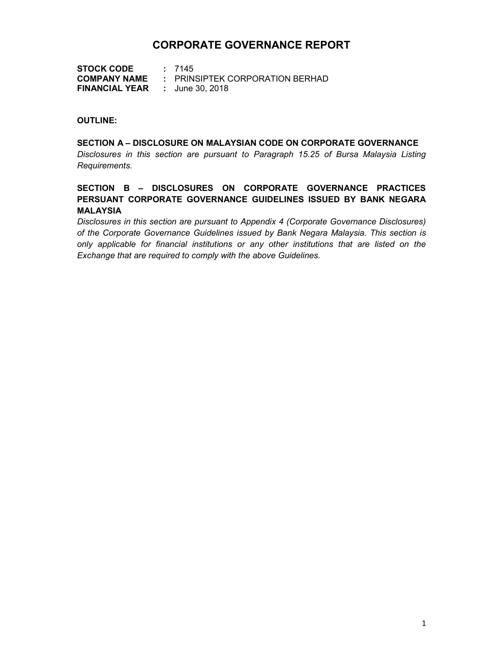# CORPORATE GOVERNANCE REPORT

STOCK CODE : 7145 COMPANY NAME : PRINSIPTEK CORPORATION BERHAD FINANCIAL YEAR : June 30, 2018

#### OUTLINE:

# SECTION A – DISCLOSURE ON MALAYSIAN CODE ON CORPORATE GOVERNANCE Disclosures in this section are pursuant to Paragraph 15.25 of Bursa Malaysia Listing Requirements.

# SECTION B – DISCLOSURES ON CORPORATE GOVERNANCE PRACTICES PERSUANT CORPORATE GOVERNANCE GUIDELINES ISSUED BY BANK NEGARA MALAYSIA

Disclosures in this section are pursuant to Appendix 4 (Corporate Governance Disclosures) of the Corporate Governance Guidelines issued by Bank Negara Malaysia. This section is only applicable for financial institutions or any other institutions that are listed on the Exchange that are required to comply with the above Guidelines.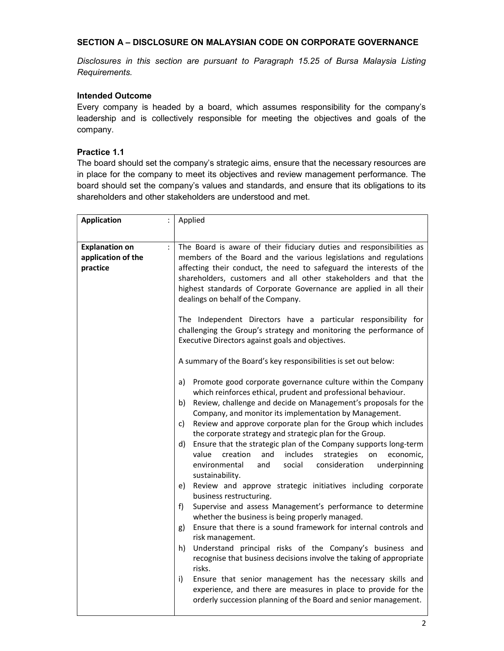# SECTION A – DISCLOSURE ON MALAYSIAN CODE ON CORPORATE GOVERNANCE

Disclosures in this section are pursuant to Paragraph 15.25 of Bursa Malaysia Listing Requirements.

# Intended Outcome

Every company is headed by a board, which assumes responsibility for the company's leadership and is collectively responsible for meeting the objectives and goals of the company.

# Practice 1.1

The board should set the company's strategic aims, ensure that the necessary resources are in place for the company to meet its objectives and review management performance. The board should set the company's values and standards, and ensure that its obligations to its shareholders and other stakeholders are understood and met.

| <b>Application</b>                                      | Applied                                                                                                                                                                                                                                                                                                                                                                                                                                                                                                                                                                                                                                                                                                                                                                                                                                                                                                                                                                                                                                                                                                                                                                                                                                                                                                                           |
|---------------------------------------------------------|-----------------------------------------------------------------------------------------------------------------------------------------------------------------------------------------------------------------------------------------------------------------------------------------------------------------------------------------------------------------------------------------------------------------------------------------------------------------------------------------------------------------------------------------------------------------------------------------------------------------------------------------------------------------------------------------------------------------------------------------------------------------------------------------------------------------------------------------------------------------------------------------------------------------------------------------------------------------------------------------------------------------------------------------------------------------------------------------------------------------------------------------------------------------------------------------------------------------------------------------------------------------------------------------------------------------------------------|
|                                                         |                                                                                                                                                                                                                                                                                                                                                                                                                                                                                                                                                                                                                                                                                                                                                                                                                                                                                                                                                                                                                                                                                                                                                                                                                                                                                                                                   |
| <b>Explanation on</b><br>application of the<br>practice | The Board is aware of their fiduciary duties and responsibilities as<br>members of the Board and the various legislations and regulations<br>affecting their conduct, the need to safeguard the interests of the<br>shareholders, customers and all other stakeholders and that the<br>highest standards of Corporate Governance are applied in all their<br>dealings on behalf of the Company.                                                                                                                                                                                                                                                                                                                                                                                                                                                                                                                                                                                                                                                                                                                                                                                                                                                                                                                                   |
|                                                         | The Independent Directors have a particular responsibility for<br>challenging the Group's strategy and monitoring the performance of<br>Executive Directors against goals and objectives.                                                                                                                                                                                                                                                                                                                                                                                                                                                                                                                                                                                                                                                                                                                                                                                                                                                                                                                                                                                                                                                                                                                                         |
|                                                         | A summary of the Board's key responsibilities is set out below:                                                                                                                                                                                                                                                                                                                                                                                                                                                                                                                                                                                                                                                                                                                                                                                                                                                                                                                                                                                                                                                                                                                                                                                                                                                                   |
|                                                         | a)<br>Promote good corporate governance culture within the Company<br>which reinforces ethical, prudent and professional behaviour.<br>Review, challenge and decide on Management's proposals for the<br>b)<br>Company, and monitor its implementation by Management.<br>Review and approve corporate plan for the Group which includes<br>C)<br>the corporate strategy and strategic plan for the Group.<br>Ensure that the strategic plan of the Company supports long-term<br>d)<br>value<br>creation<br>includes<br>economic,<br>and<br>strategies<br>on<br>environmental<br>social<br>consideration<br>and<br>underpinning<br>sustainability.<br>e) Review and approve strategic initiatives including corporate<br>business restructuring.<br>Supervise and assess Management's performance to determine<br>f)<br>whether the business is being properly managed.<br>Ensure that there is a sound framework for internal controls and<br>g)<br>risk management.<br>Understand principal risks of the Company's business and<br>h)<br>recognise that business decisions involve the taking of appropriate<br>risks.<br>i)<br>Ensure that senior management has the necessary skills and<br>experience, and there are measures in place to provide for the<br>orderly succession planning of the Board and senior management. |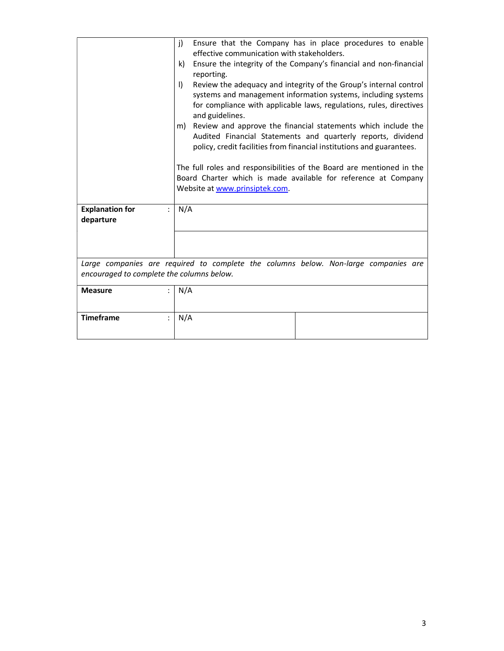|                                           | j)           | Ensure that the Company has in place procedures to enable<br>effective communication with stakeholders. |
|-------------------------------------------|--------------|---------------------------------------------------------------------------------------------------------|
|                                           |              |                                                                                                         |
|                                           | k)           | Ensure the integrity of the Company's financial and non-financial                                       |
|                                           |              | reporting.                                                                                              |
|                                           | $\mathsf{I}$ | Review the adequacy and integrity of the Group's internal control                                       |
|                                           |              | systems and management information systems, including systems                                           |
|                                           |              | for compliance with applicable laws, regulations, rules, directives                                     |
|                                           |              | and guidelines.                                                                                         |
|                                           |              | m) Review and approve the financial statements which include the                                        |
|                                           |              | Audited Financial Statements and quarterly reports, dividend                                            |
|                                           |              | policy, credit facilities from financial institutions and guarantees.                                   |
|                                           |              |                                                                                                         |
|                                           |              | The full roles and responsibilities of the Board are mentioned in the                                   |
|                                           |              | Board Charter which is made available for reference at Company                                          |
|                                           |              | Website at www.prinsiptek.com.                                                                          |
|                                           |              |                                                                                                         |
| <b>Explanation for</b>                    | N/A          |                                                                                                         |
|                                           |              |                                                                                                         |
| departure                                 |              |                                                                                                         |
|                                           |              |                                                                                                         |
|                                           |              |                                                                                                         |
|                                           |              |                                                                                                         |
|                                           |              | Large companies are required to complete the columns below. Non-large companies are                     |
| encouraged to complete the columns below. |              |                                                                                                         |
|                                           |              |                                                                                                         |
| <b>Measure</b>                            | N/A          |                                                                                                         |
|                                           |              |                                                                                                         |
| <b>Timeframe</b>                          | N/A          |                                                                                                         |
|                                           |              |                                                                                                         |
|                                           |              |                                                                                                         |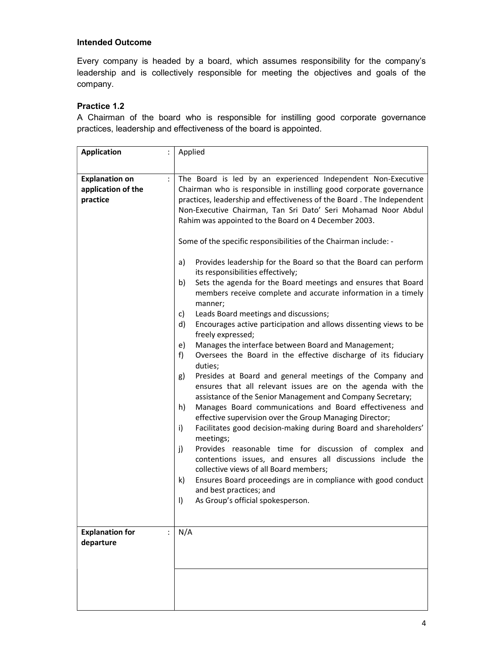Every company is headed by a board, which assumes responsibility for the company's leadership and is collectively responsible for meeting the objectives and goals of the company.

# Practice 1.2

A Chairman of the board who is responsible for instilling good corporate governance practices, leadership and effectiveness of the board is appointed.

| <b>Application</b>                                      | Applied                                                                                                                                                                                                                                                                                                                                                                                                                                                                                                                                                                                                                                                                                                                                                                                                                                                                                                                                                                                                                                                                                                                                                                                                                         |
|---------------------------------------------------------|---------------------------------------------------------------------------------------------------------------------------------------------------------------------------------------------------------------------------------------------------------------------------------------------------------------------------------------------------------------------------------------------------------------------------------------------------------------------------------------------------------------------------------------------------------------------------------------------------------------------------------------------------------------------------------------------------------------------------------------------------------------------------------------------------------------------------------------------------------------------------------------------------------------------------------------------------------------------------------------------------------------------------------------------------------------------------------------------------------------------------------------------------------------------------------------------------------------------------------|
|                                                         |                                                                                                                                                                                                                                                                                                                                                                                                                                                                                                                                                                                                                                                                                                                                                                                                                                                                                                                                                                                                                                                                                                                                                                                                                                 |
| <b>Explanation on</b><br>application of the<br>practice | The Board is led by an experienced Independent Non-Executive<br>Chairman who is responsible in instilling good corporate governance<br>practices, leadership and effectiveness of the Board. The Independent<br>Non-Executive Chairman, Tan Sri Dato' Seri Mohamad Noor Abdul<br>Rahim was appointed to the Board on 4 December 2003.                                                                                                                                                                                                                                                                                                                                                                                                                                                                                                                                                                                                                                                                                                                                                                                                                                                                                           |
|                                                         | Some of the specific responsibilities of the Chairman include: -                                                                                                                                                                                                                                                                                                                                                                                                                                                                                                                                                                                                                                                                                                                                                                                                                                                                                                                                                                                                                                                                                                                                                                |
|                                                         | Provides leadership for the Board so that the Board can perform<br>a)<br>its responsibilities effectively;<br>Sets the agenda for the Board meetings and ensures that Board<br>b)<br>members receive complete and accurate information in a timely<br>manner;<br>Leads Board meetings and discussions;<br>c)<br>d)<br>Encourages active participation and allows dissenting views to be<br>freely expressed;<br>Manages the interface between Board and Management;<br>e)<br>Oversees the Board in the effective discharge of its fiduciary<br>f)<br>duties;<br>Presides at Board and general meetings of the Company and<br>g)<br>ensures that all relevant issues are on the agenda with the<br>assistance of the Senior Management and Company Secretary;<br>h)<br>Manages Board communications and Board effectiveness and<br>effective supervision over the Group Managing Director;<br>i)<br>Facilitates good decision-making during Board and shareholders'<br>meetings;<br>Provides reasonable time for discussion of complex and<br>j)<br>contentions issues, and ensures all discussions include the<br>collective views of all Board members;<br>k)<br>Ensures Board proceedings are in compliance with good conduct |
|                                                         | and best practices; and<br>$\vert$<br>As Group's official spokesperson.                                                                                                                                                                                                                                                                                                                                                                                                                                                                                                                                                                                                                                                                                                                                                                                                                                                                                                                                                                                                                                                                                                                                                         |
|                                                         |                                                                                                                                                                                                                                                                                                                                                                                                                                                                                                                                                                                                                                                                                                                                                                                                                                                                                                                                                                                                                                                                                                                                                                                                                                 |
| <b>Explanation for</b><br>departure                     | N/A                                                                                                                                                                                                                                                                                                                                                                                                                                                                                                                                                                                                                                                                                                                                                                                                                                                                                                                                                                                                                                                                                                                                                                                                                             |
|                                                         |                                                                                                                                                                                                                                                                                                                                                                                                                                                                                                                                                                                                                                                                                                                                                                                                                                                                                                                                                                                                                                                                                                                                                                                                                                 |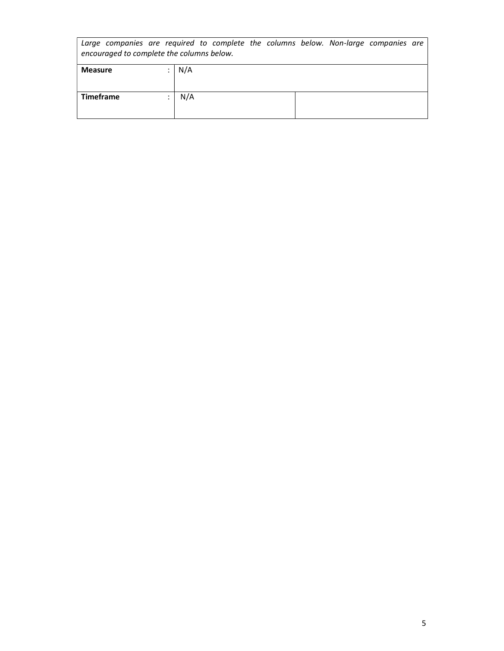| Large companies are required to complete the columns below. Non-large companies are<br>encouraged to complete the columns below. |  |     |  |  |  |  |  |
|----------------------------------------------------------------------------------------------------------------------------------|--|-----|--|--|--|--|--|
| <b>Measure</b>                                                                                                                   |  | N/A |  |  |  |  |  |
| <b>Timeframe</b>                                                                                                                 |  | N/A |  |  |  |  |  |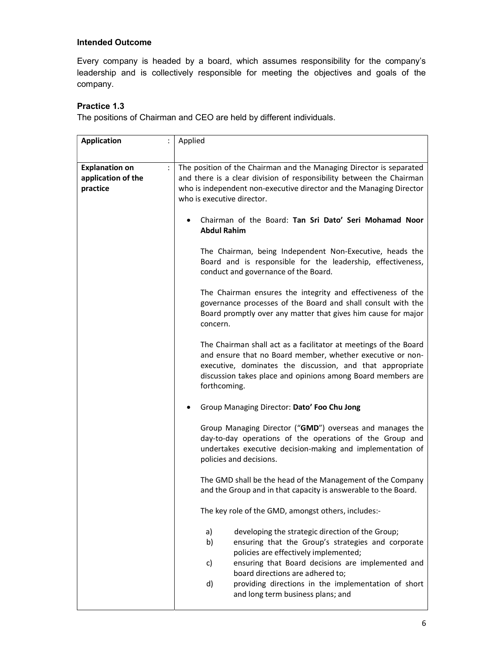Every company is headed by a board, which assumes responsibility for the company's leadership and is collectively responsible for meeting the objectives and goals of the company.

# Practice 1.3

The positions of Chairman and CEO are held by different individuals.

| <b>Application</b>                                      | Applied                                                                                                                                                                                                                                                                                                                                                      |
|---------------------------------------------------------|--------------------------------------------------------------------------------------------------------------------------------------------------------------------------------------------------------------------------------------------------------------------------------------------------------------------------------------------------------------|
| <b>Explanation on</b><br>application of the<br>practice | The position of the Chairman and the Managing Director is separated<br>and there is a clear division of responsibility between the Chairman<br>who is independent non-executive director and the Managing Director<br>who is executive director.                                                                                                             |
|                                                         | Chairman of the Board: Tan Sri Dato' Seri Mohamad Noor<br><b>Abdul Rahim</b>                                                                                                                                                                                                                                                                                 |
|                                                         | The Chairman, being Independent Non-Executive, heads the<br>Board and is responsible for the leadership, effectiveness,<br>conduct and governance of the Board.                                                                                                                                                                                              |
|                                                         | The Chairman ensures the integrity and effectiveness of the<br>governance processes of the Board and shall consult with the<br>Board promptly over any matter that gives him cause for major<br>concern.                                                                                                                                                     |
|                                                         | The Chairman shall act as a facilitator at meetings of the Board<br>and ensure that no Board member, whether executive or non-<br>executive, dominates the discussion, and that appropriate<br>discussion takes place and opinions among Board members are<br>forthcoming.                                                                                   |
|                                                         | Group Managing Director: Dato' Foo Chu Jong                                                                                                                                                                                                                                                                                                                  |
|                                                         | Group Managing Director ("GMD") overseas and manages the<br>day-to-day operations of the operations of the Group and<br>undertakes executive decision-making and implementation of<br>policies and decisions.                                                                                                                                                |
|                                                         | The GMD shall be the head of the Management of the Company<br>and the Group and in that capacity is answerable to the Board.                                                                                                                                                                                                                                 |
|                                                         | The key role of the GMD, amongst others, includes:-                                                                                                                                                                                                                                                                                                          |
|                                                         | developing the strategic direction of the Group;<br>a)<br>b)<br>ensuring that the Group's strategies and corporate<br>policies are effectively implemented;<br>ensuring that Board decisions are implemented and<br>c)<br>board directions are adhered to;<br>providing directions in the implementation of short<br>d)<br>and long term business plans; and |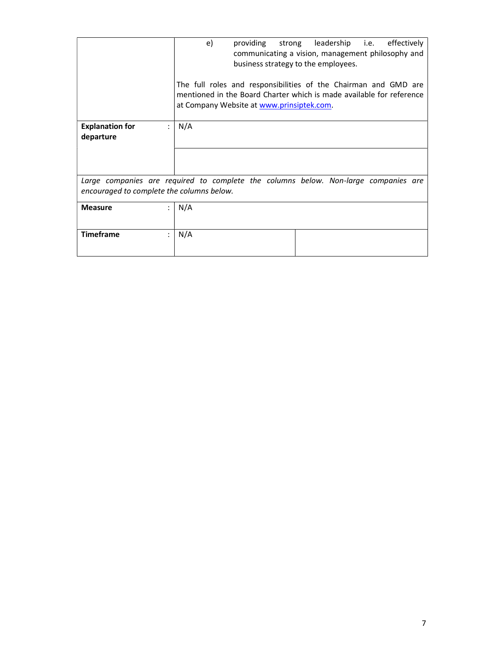|                                           | providing strong leadership i.e. effectively<br>e)<br>communicating a vision, management philosophy and<br>business strategy to the employees.                                       |
|-------------------------------------------|--------------------------------------------------------------------------------------------------------------------------------------------------------------------------------------|
|                                           | The full roles and responsibilities of the Chairman and GMD are<br>mentioned in the Board Charter which is made available for reference<br>at Company Website at www.prinsiptek.com. |
| <b>Explanation for</b><br>departure       | N/A                                                                                                                                                                                  |
|                                           |                                                                                                                                                                                      |
| encouraged to complete the columns below. | Large companies are required to complete the columns below. Non-large companies are                                                                                                  |
| <b>Measure</b>                            | N/A                                                                                                                                                                                  |
| <b>Timeframe</b>                          | N/A                                                                                                                                                                                  |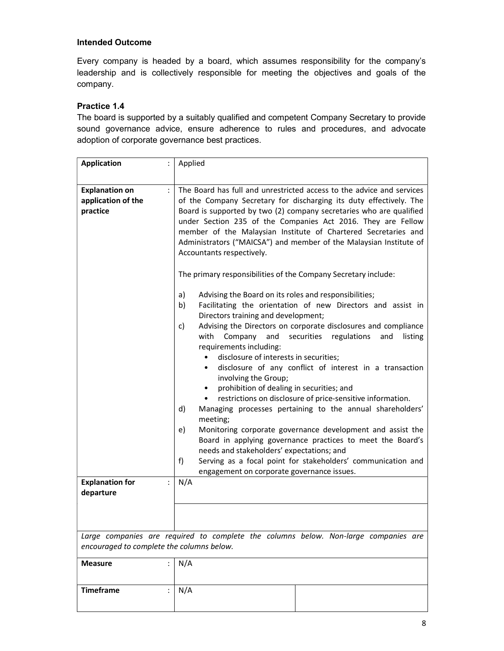Every company is headed by a board, which assumes responsibility for the company's leadership and is collectively responsible for meeting the objectives and goals of the company.

# Practice 1.4

The board is supported by a suitably qualified and competent Company Secretary to provide sound governance advice, ensure adherence to rules and procedures, and advocate adoption of corporate governance best practices.

| <b>Application</b>                                           | Applied                                                                                                                                                                                                                                                                                                                                                                                                                                                                                                                                                                                                                                                                                                                                                                                                                                                                                       |
|--------------------------------------------------------------|-----------------------------------------------------------------------------------------------------------------------------------------------------------------------------------------------------------------------------------------------------------------------------------------------------------------------------------------------------------------------------------------------------------------------------------------------------------------------------------------------------------------------------------------------------------------------------------------------------------------------------------------------------------------------------------------------------------------------------------------------------------------------------------------------------------------------------------------------------------------------------------------------|
| <b>Explanation on</b><br>÷<br>application of the<br>practice | The Board has full and unrestricted access to the advice and services<br>of the Company Secretary for discharging its duty effectively. The<br>Board is supported by two (2) company secretaries who are qualified<br>under Section 235 of the Companies Act 2016. They are Fellow<br>member of the Malaysian Institute of Chartered Secretaries and<br>Administrators ("MAICSA") and member of the Malaysian Institute of<br>Accountants respectively.<br>The primary responsibilities of the Company Secretary include:<br>a)<br>Advising the Board on its roles and responsibilities;<br>Facilitating the orientation of new Directors and assist in<br>b)                                                                                                                                                                                                                                 |
|                                                              | Directors training and development;<br>Advising the Directors on corporate disclosures and compliance<br>c)<br>with<br>and<br>securities<br>regulations<br>Company<br>and<br>listing<br>requirements including:<br>disclosure of interests in securities;<br>$\bullet$<br>disclosure of any conflict of interest in a transaction<br>$\bullet$<br>involving the Group;<br>prohibition of dealing in securities; and<br>$\bullet$<br>restrictions on disclosure of price-sensitive information.<br>$\bullet$<br>Managing processes pertaining to the annual shareholders'<br>d)<br>meeting;<br>Monitoring corporate governance development and assist the<br>e)<br>Board in applying governance practices to meet the Board's<br>needs and stakeholders' expectations; and<br>Serving as a focal point for stakeholders' communication and<br>f)<br>engagement on corporate governance issues. |
| <b>Explanation for</b><br>÷<br>departure                     | N/A                                                                                                                                                                                                                                                                                                                                                                                                                                                                                                                                                                                                                                                                                                                                                                                                                                                                                           |
|                                                              |                                                                                                                                                                                                                                                                                                                                                                                                                                                                                                                                                                                                                                                                                                                                                                                                                                                                                               |
| encouraged to complete the columns below.                    | Large companies are required to complete the columns below. Non-large companies are                                                                                                                                                                                                                                                                                                                                                                                                                                                                                                                                                                                                                                                                                                                                                                                                           |
| <b>Measure</b>                                               | N/A                                                                                                                                                                                                                                                                                                                                                                                                                                                                                                                                                                                                                                                                                                                                                                                                                                                                                           |
| <b>Timeframe</b>                                             | N/A                                                                                                                                                                                                                                                                                                                                                                                                                                                                                                                                                                                                                                                                                                                                                                                                                                                                                           |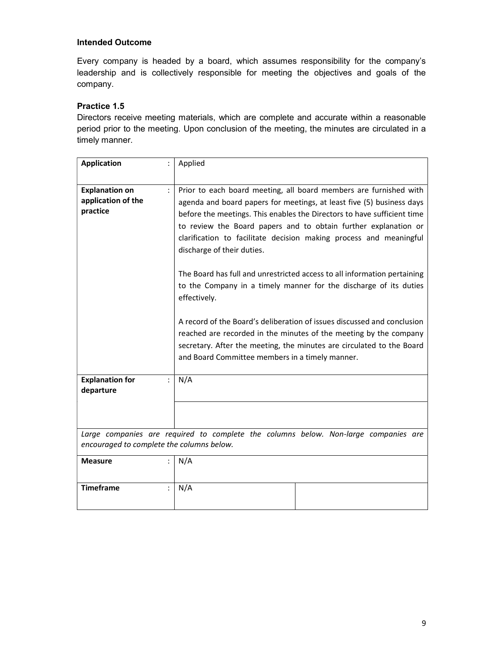Every company is headed by a board, which assumes responsibility for the company's leadership and is collectively responsible for meeting the objectives and goals of the company.

# Practice 1.5

Directors receive meeting materials, which are complete and accurate within a reasonable period prior to the meeting. Upon conclusion of the meeting, the minutes are circulated in a timely manner.

| <b>Application</b>                                      | Applied                                                                                                                                                                                                                                                                                                                                                                                                                                                                                                                                                                                                                                                                                                                                                                                                                                   |
|---------------------------------------------------------|-------------------------------------------------------------------------------------------------------------------------------------------------------------------------------------------------------------------------------------------------------------------------------------------------------------------------------------------------------------------------------------------------------------------------------------------------------------------------------------------------------------------------------------------------------------------------------------------------------------------------------------------------------------------------------------------------------------------------------------------------------------------------------------------------------------------------------------------|
| <b>Explanation on</b><br>application of the<br>practice | Prior to each board meeting, all board members are furnished with<br>agenda and board papers for meetings, at least five (5) business days<br>before the meetings. This enables the Directors to have sufficient time<br>to review the Board papers and to obtain further explanation or<br>clarification to facilitate decision making process and meaningful<br>discharge of their duties.<br>The Board has full and unrestricted access to all information pertaining<br>to the Company in a timely manner for the discharge of its duties<br>effectively.<br>A record of the Board's deliberation of issues discussed and conclusion<br>reached are recorded in the minutes of the meeting by the company<br>secretary. After the meeting, the minutes are circulated to the Board<br>and Board Committee members in a timely manner. |
| <b>Explanation for</b><br>departure                     | N/A                                                                                                                                                                                                                                                                                                                                                                                                                                                                                                                                                                                                                                                                                                                                                                                                                                       |
|                                                         |                                                                                                                                                                                                                                                                                                                                                                                                                                                                                                                                                                                                                                                                                                                                                                                                                                           |
| encouraged to complete the columns below.               | Large companies are required to complete the columns below. Non-large companies are                                                                                                                                                                                                                                                                                                                                                                                                                                                                                                                                                                                                                                                                                                                                                       |
| <b>Measure</b>                                          | N/A                                                                                                                                                                                                                                                                                                                                                                                                                                                                                                                                                                                                                                                                                                                                                                                                                                       |
| <b>Timeframe</b>                                        | N/A                                                                                                                                                                                                                                                                                                                                                                                                                                                                                                                                                                                                                                                                                                                                                                                                                                       |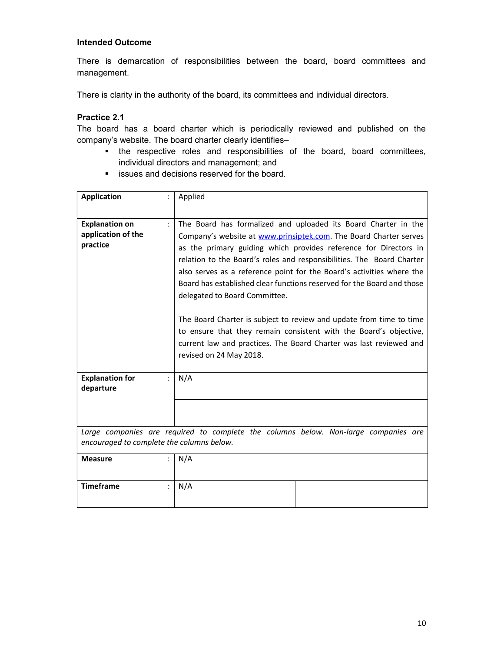There is demarcation of responsibilities between the board, board committees and management.

There is clarity in the authority of the board, its committees and individual directors.

# Practice 2.1

The board has a board charter which is periodically reviewed and published on the company's website. The board charter clearly identifies–

- the respective roles and responsibilities of the board, board committees, individual directors and management; and
- **EXECUTE:** issues and decisions reserved for the board.

| <b>Application</b>                                      | Applied                                                                                                                                                                                                                                                                                                                                                                                                                                                                                                                                                                                                                                                                                                           |  |
|---------------------------------------------------------|-------------------------------------------------------------------------------------------------------------------------------------------------------------------------------------------------------------------------------------------------------------------------------------------------------------------------------------------------------------------------------------------------------------------------------------------------------------------------------------------------------------------------------------------------------------------------------------------------------------------------------------------------------------------------------------------------------------------|--|
| <b>Explanation on</b><br>application of the<br>practice | The Board has formalized and uploaded its Board Charter in the<br>Company's website at www.prinsiptek.com. The Board Charter serves<br>as the primary guiding which provides reference for Directors in<br>relation to the Board's roles and responsibilities. The Board Charter<br>also serves as a reference point for the Board's activities where the<br>Board has established clear functions reserved for the Board and those<br>delegated to Board Committee.<br>The Board Charter is subject to review and update from time to time<br>to ensure that they remain consistent with the Board's objective,<br>current law and practices. The Board Charter was last reviewed and<br>revised on 24 May 2018. |  |
| <b>Explanation for</b><br>departure                     | N/A                                                                                                                                                                                                                                                                                                                                                                                                                                                                                                                                                                                                                                                                                                               |  |
|                                                         |                                                                                                                                                                                                                                                                                                                                                                                                                                                                                                                                                                                                                                                                                                                   |  |
| encouraged to complete the columns below.               | Large companies are required to complete the columns below. Non-large companies are                                                                                                                                                                                                                                                                                                                                                                                                                                                                                                                                                                                                                               |  |
| <b>Measure</b>                                          | N/A                                                                                                                                                                                                                                                                                                                                                                                                                                                                                                                                                                                                                                                                                                               |  |
| <b>Timeframe</b>                                        | N/A                                                                                                                                                                                                                                                                                                                                                                                                                                                                                                                                                                                                                                                                                                               |  |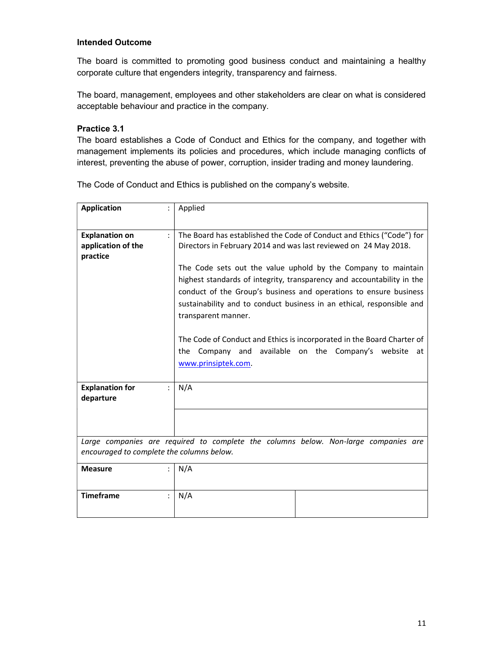The board is committed to promoting good business conduct and maintaining a healthy corporate culture that engenders integrity, transparency and fairness.

The board, management, employees and other stakeholders are clear on what is considered acceptable behaviour and practice in the company.

### Practice 3.1

The board establishes a Code of Conduct and Ethics for the company, and together with management implements its policies and procedures, which include managing conflicts of interest, preventing the abuse of power, corruption, insider trading and money laundering.

The Code of Conduct and Ethics is published on the company's website.

| <b>Application</b>                                      | Applied                                                                                                                                                           |
|---------------------------------------------------------|-------------------------------------------------------------------------------------------------------------------------------------------------------------------|
| <b>Explanation on</b><br>application of the<br>practice | The Board has established the Code of Conduct and Ethics ("Code") for<br>Directors in February 2014 and was last reviewed on 24 May 2018.                         |
|                                                         | The Code sets out the value uphold by the Company to maintain<br>highest standards of integrity, transparency and accountability in the                           |
|                                                         | conduct of the Group's business and operations to ensure business<br>sustainability and to conduct business in an ethical, responsible and<br>transparent manner. |
|                                                         | The Code of Conduct and Ethics is incorporated in the Board Charter of<br>the Company and available on the Company's website<br>at<br>www.prinsiptek.com.         |
| <b>Explanation for</b><br>departure                     | N/A                                                                                                                                                               |
|                                                         |                                                                                                                                                                   |
| encouraged to complete the columns below.               | Large companies are required to complete the columns below. Non-large companies are                                                                               |
| <b>Measure</b>                                          | N/A                                                                                                                                                               |
| <b>Timeframe</b>                                        | N/A                                                                                                                                                               |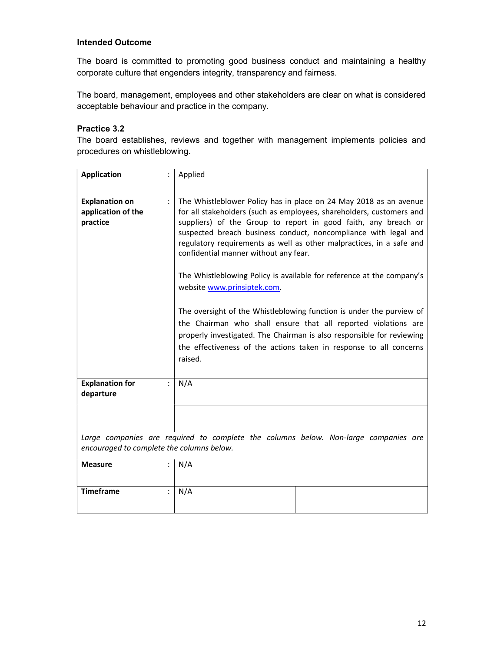The board is committed to promoting good business conduct and maintaining a healthy corporate culture that engenders integrity, transparency and fairness.

The board, management, employees and other stakeholders are clear on what is considered acceptable behaviour and practice in the company.

# Practice 3.2

The board establishes, reviews and together with management implements policies and procedures on whistleblowing.

| <b>Application</b>                                      | Applied                                                                                                                                                                                                                                                                                                                                                                                                                                                                                                                                                                                                                                                                                                                                                                                                     |
|---------------------------------------------------------|-------------------------------------------------------------------------------------------------------------------------------------------------------------------------------------------------------------------------------------------------------------------------------------------------------------------------------------------------------------------------------------------------------------------------------------------------------------------------------------------------------------------------------------------------------------------------------------------------------------------------------------------------------------------------------------------------------------------------------------------------------------------------------------------------------------|
| <b>Explanation on</b><br>application of the<br>practice | The Whistleblower Policy has in place on 24 May 2018 as an avenue<br>for all stakeholders (such as employees, shareholders, customers and<br>suppliers) of the Group to report in good faith, any breach or<br>suspected breach business conduct, noncompliance with legal and<br>regulatory requirements as well as other malpractices, in a safe and<br>confidential manner without any fear.<br>The Whistleblowing Policy is available for reference at the company's<br>website www.prinsiptek.com.<br>The oversight of the Whistleblowing function is under the purview of<br>the Chairman who shall ensure that all reported violations are<br>properly investigated. The Chairman is also responsible for reviewing<br>the effectiveness of the actions taken in response to all concerns<br>raised. |
| <b>Explanation for</b><br>departure                     | N/A                                                                                                                                                                                                                                                                                                                                                                                                                                                                                                                                                                                                                                                                                                                                                                                                         |
|                                                         |                                                                                                                                                                                                                                                                                                                                                                                                                                                                                                                                                                                                                                                                                                                                                                                                             |
| encouraged to complete the columns below.               | Large companies are required to complete the columns below. Non-large companies are                                                                                                                                                                                                                                                                                                                                                                                                                                                                                                                                                                                                                                                                                                                         |
| <b>Measure</b>                                          | N/A                                                                                                                                                                                                                                                                                                                                                                                                                                                                                                                                                                                                                                                                                                                                                                                                         |
| <b>Timeframe</b>                                        | N/A                                                                                                                                                                                                                                                                                                                                                                                                                                                                                                                                                                                                                                                                                                                                                                                                         |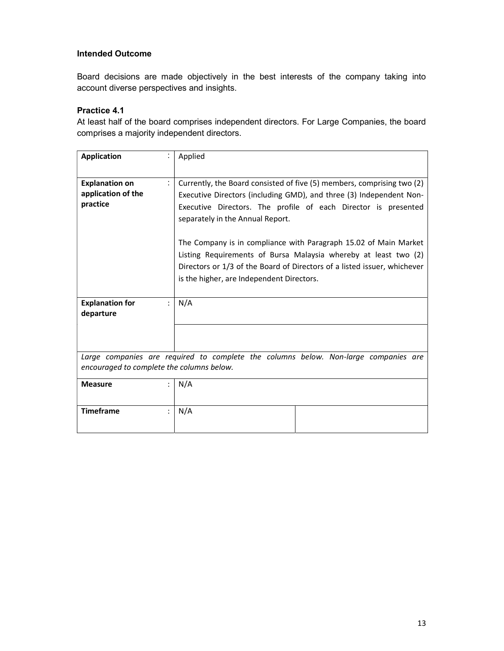Board decisions are made objectively in the best interests of the company taking into account diverse perspectives and insights.

# Practice 4.1

At least half of the board comprises independent directors. For Large Companies, the board comprises a majority independent directors.

| <b>Application</b>                                      | Applied                                                                                                                                                                                                                                                                                                                                                                                                                                                                                                             |
|---------------------------------------------------------|---------------------------------------------------------------------------------------------------------------------------------------------------------------------------------------------------------------------------------------------------------------------------------------------------------------------------------------------------------------------------------------------------------------------------------------------------------------------------------------------------------------------|
| <b>Explanation on</b><br>application of the<br>practice | Currently, the Board consisted of five (5) members, comprising two (2)<br>Executive Directors (including GMD), and three (3) Independent Non-<br>Executive Directors. The profile of each Director is presented<br>separately in the Annual Report.<br>The Company is in compliance with Paragraph 15.02 of Main Market<br>Listing Requirements of Bursa Malaysia whereby at least two (2)<br>Directors or 1/3 of the Board of Directors of a listed issuer, whichever<br>is the higher, are Independent Directors. |
| <b>Explanation for</b><br>departure                     | N/A                                                                                                                                                                                                                                                                                                                                                                                                                                                                                                                 |
|                                                         |                                                                                                                                                                                                                                                                                                                                                                                                                                                                                                                     |
| encouraged to complete the columns below.               | Large companies are required to complete the columns below. Non-large companies are                                                                                                                                                                                                                                                                                                                                                                                                                                 |
| <b>Measure</b>                                          | N/A                                                                                                                                                                                                                                                                                                                                                                                                                                                                                                                 |
| <b>Timeframe</b>                                        | N/A                                                                                                                                                                                                                                                                                                                                                                                                                                                                                                                 |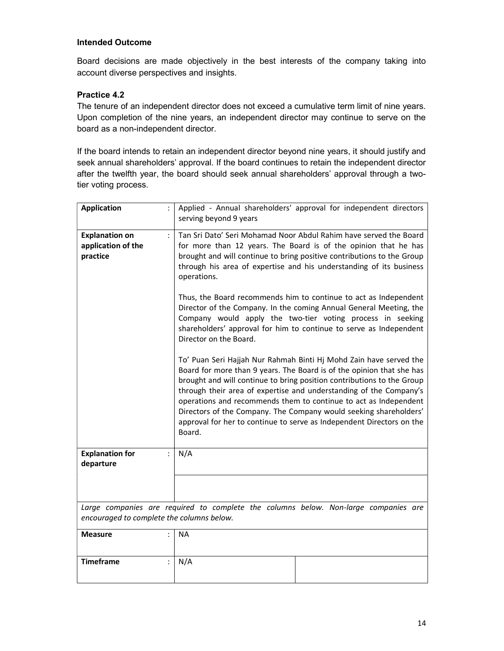Board decisions are made objectively in the best interests of the company taking into account diverse perspectives and insights.

# Practice 4.2

The tenure of an independent director does not exceed a cumulative term limit of nine years. Upon completion of the nine years, an independent director may continue to serve on the board as a non-independent director.

If the board intends to retain an independent director beyond nine years, it should justify and seek annual shareholders' approval. If the board continues to retain the independent director after the twelfth year, the board should seek annual shareholders' approval through a twotier voting process.

| <b>Application</b>                                      |                      | Applied - Annual shareholders' approval for independent directors<br>serving beyond 9 years                                                                                                                                                                                                                                                                                                                                                                                                                             |
|---------------------------------------------------------|----------------------|-------------------------------------------------------------------------------------------------------------------------------------------------------------------------------------------------------------------------------------------------------------------------------------------------------------------------------------------------------------------------------------------------------------------------------------------------------------------------------------------------------------------------|
| <b>Explanation on</b><br>application of the<br>practice | $\ddot{\phantom{a}}$ | Tan Sri Dato' Seri Mohamad Noor Abdul Rahim have served the Board<br>for more than 12 years. The Board is of the opinion that he has<br>brought and will continue to bring positive contributions to the Group<br>through his area of expertise and his understanding of its business<br>operations.                                                                                                                                                                                                                    |
|                                                         |                      | Thus, the Board recommends him to continue to act as Independent<br>Director of the Company. In the coming Annual General Meeting, the<br>Company would apply the two-tier voting process in seeking<br>shareholders' approval for him to continue to serve as Independent<br>Director on the Board.                                                                                                                                                                                                                    |
|                                                         |                      | To' Puan Seri Hajjah Nur Rahmah Binti Hj Mohd Zain have served the<br>Board for more than 9 years. The Board is of the opinion that she has<br>brought and will continue to bring position contributions to the Group<br>through their area of expertise and understanding of the Company's<br>operations and recommends them to continue to act as Independent<br>Directors of the Company. The Company would seeking shareholders'<br>approval for her to continue to serve as Independent Directors on the<br>Board. |
| <b>Explanation for</b><br>departure                     | $\ddot{\cdot}$       | N/A                                                                                                                                                                                                                                                                                                                                                                                                                                                                                                                     |
|                                                         |                      |                                                                                                                                                                                                                                                                                                                                                                                                                                                                                                                         |
| encouraged to complete the columns below.               |                      | Large companies are required to complete the columns below. Non-large companies are                                                                                                                                                                                                                                                                                                                                                                                                                                     |
| <b>Measure</b>                                          |                      | <b>NA</b>                                                                                                                                                                                                                                                                                                                                                                                                                                                                                                               |
| <b>Timeframe</b>                                        |                      | N/A                                                                                                                                                                                                                                                                                                                                                                                                                                                                                                                     |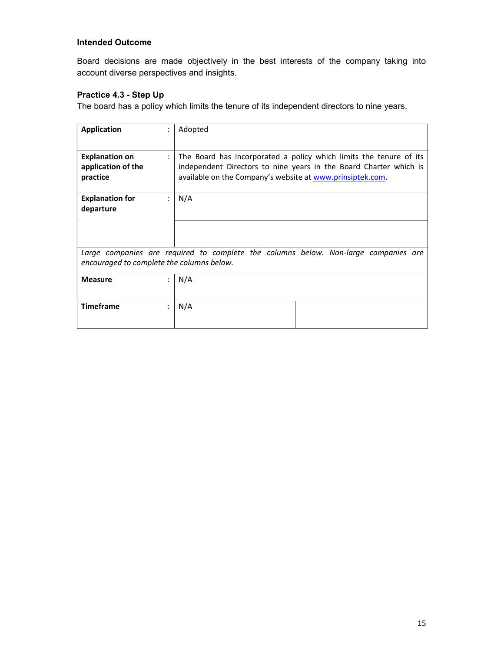Board decisions are made objectively in the best interests of the company taking into account diverse perspectives and insights.

# Practice 4.3 - Step Up

The board has a policy which limits the tenure of its independent directors to nine years.

| <b>Application</b>                                      | $\bullet$      | Adopted                                                                                                                                                                                              |
|---------------------------------------------------------|----------------|------------------------------------------------------------------------------------------------------------------------------------------------------------------------------------------------------|
| <b>Explanation on</b><br>application of the<br>practice | $\ddot{\cdot}$ | The Board has incorporated a policy which limits the tenure of its<br>independent Directors to nine years in the Board Charter which is<br>available on the Company's website at www.prinsiptek.com. |
| <b>Explanation for</b><br>departure                     | $\ddot{\cdot}$ | N/A                                                                                                                                                                                                  |
|                                                         |                |                                                                                                                                                                                                      |
| encouraged to complete the columns below.               |                | Large companies are required to complete the columns below. Non-large companies are                                                                                                                  |
| <b>Measure</b>                                          | $\bullet$      | N/A                                                                                                                                                                                                  |
| <b>Timeframe</b>                                        | ÷              | N/A                                                                                                                                                                                                  |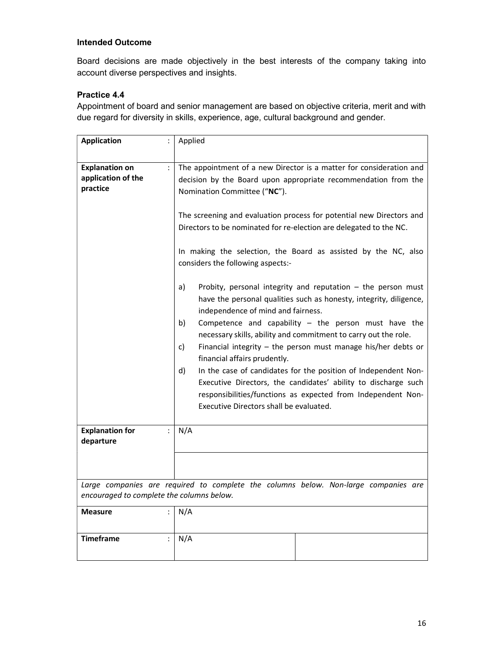Board decisions are made objectively in the best interests of the company taking into account diverse perspectives and insights.

# Practice 4.4

Appointment of board and senior management are based on objective criteria, merit and with due regard for diversity in skills, experience, age, cultural background and gender.

| <b>Application</b>                                      | $\ddot{\cdot}$       | Applied                                                                                                                                                                                                                                                                                                                                                                                                                                                                                                                                                                                                   |
|---------------------------------------------------------|----------------------|-----------------------------------------------------------------------------------------------------------------------------------------------------------------------------------------------------------------------------------------------------------------------------------------------------------------------------------------------------------------------------------------------------------------------------------------------------------------------------------------------------------------------------------------------------------------------------------------------------------|
| <b>Explanation on</b><br>application of the<br>practice | $\ddot{\cdot}$       | The appointment of a new Director is a matter for consideration and<br>decision by the Board upon appropriate recommendation from the<br>Nomination Committee ("NC").<br>The screening and evaluation process for potential new Directors and<br>Directors to be nominated for re-election are delegated to the NC.<br>In making the selection, the Board as assisted by the NC, also<br>considers the following aspects:-<br>Probity, personal integrity and reputation $-$ the person must<br>a)                                                                                                        |
|                                                         |                      | have the personal qualities such as honesty, integrity, diligence,<br>independence of mind and fairness.<br>Competence and capability $-$ the person must have the<br>b)<br>necessary skills, ability and commitment to carry out the role.<br>Financial integrity $-$ the person must manage his/her debts or<br>c)<br>financial affairs prudently.<br>In the case of candidates for the position of Independent Non-<br>d)<br>Executive Directors, the candidates' ability to discharge such<br>responsibilities/functions as expected from Independent Non-<br>Executive Directors shall be evaluated. |
| <b>Explanation for</b><br>departure                     | $\ddot{\phantom{a}}$ | N/A                                                                                                                                                                                                                                                                                                                                                                                                                                                                                                                                                                                                       |
|                                                         |                      |                                                                                                                                                                                                                                                                                                                                                                                                                                                                                                                                                                                                           |
| encouraged to complete the columns below.               |                      | Large companies are required to complete the columns below. Non-large companies are                                                                                                                                                                                                                                                                                                                                                                                                                                                                                                                       |
| <b>Measure</b>                                          |                      | N/A                                                                                                                                                                                                                                                                                                                                                                                                                                                                                                                                                                                                       |
| <b>Timeframe</b>                                        |                      | N/A                                                                                                                                                                                                                                                                                                                                                                                                                                                                                                                                                                                                       |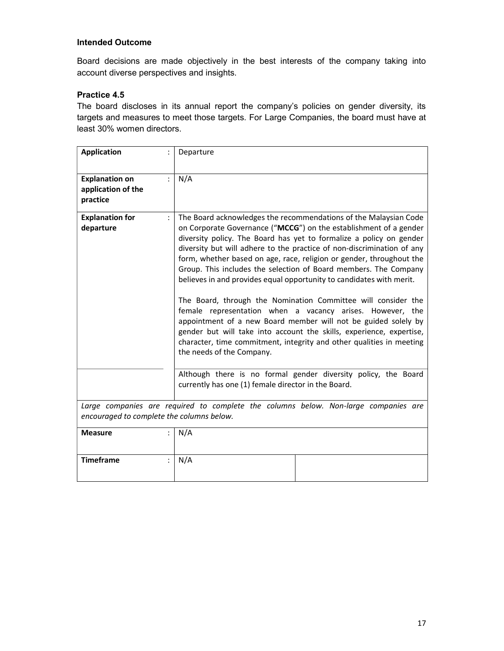Board decisions are made objectively in the best interests of the company taking into account diverse perspectives and insights.

# Practice 4.5

The board discloses in its annual report the company's policies on gender diversity, its targets and measures to meet those targets. For Large Companies, the board must have at least 30% women directors.

| <b>Application</b>                                      |                                                                                                                                  | Departure                                                                                                                                                                                                                                                                                                                                                                                                                                                                                                                                                                                                                                                                                                                                                                                                                                                                               |  |
|---------------------------------------------------------|----------------------------------------------------------------------------------------------------------------------------------|-----------------------------------------------------------------------------------------------------------------------------------------------------------------------------------------------------------------------------------------------------------------------------------------------------------------------------------------------------------------------------------------------------------------------------------------------------------------------------------------------------------------------------------------------------------------------------------------------------------------------------------------------------------------------------------------------------------------------------------------------------------------------------------------------------------------------------------------------------------------------------------------|--|
| <b>Explanation on</b><br>application of the<br>practice |                                                                                                                                  | N/A                                                                                                                                                                                                                                                                                                                                                                                                                                                                                                                                                                                                                                                                                                                                                                                                                                                                                     |  |
| <b>Explanation for</b><br>departure                     |                                                                                                                                  | The Board acknowledges the recommendations of the Malaysian Code<br>on Corporate Governance ("MCCG") on the establishment of a gender<br>diversity policy. The Board has yet to formalize a policy on gender<br>diversity but will adhere to the practice of non-discrimination of any<br>form, whether based on age, race, religion or gender, throughout the<br>Group. This includes the selection of Board members. The Company<br>believes in and provides equal opportunity to candidates with merit.<br>The Board, through the Nomination Committee will consider the<br>female representation when a vacancy arises. However, the<br>appointment of a new Board member will not be guided solely by<br>gender but will take into account the skills, experience, expertise,<br>character, time commitment, integrity and other qualities in meeting<br>the needs of the Company. |  |
|                                                         |                                                                                                                                  | Although there is no formal gender diversity policy, the Board<br>currently has one (1) female director in the Board.                                                                                                                                                                                                                                                                                                                                                                                                                                                                                                                                                                                                                                                                                                                                                                   |  |
|                                                         | Large companies are required to complete the columns below. Non-large companies are<br>encouraged to complete the columns below. |                                                                                                                                                                                                                                                                                                                                                                                                                                                                                                                                                                                                                                                                                                                                                                                                                                                                                         |  |
| <b>Measure</b>                                          |                                                                                                                                  | N/A                                                                                                                                                                                                                                                                                                                                                                                                                                                                                                                                                                                                                                                                                                                                                                                                                                                                                     |  |
| <b>Timeframe</b>                                        |                                                                                                                                  | N/A                                                                                                                                                                                                                                                                                                                                                                                                                                                                                                                                                                                                                                                                                                                                                                                                                                                                                     |  |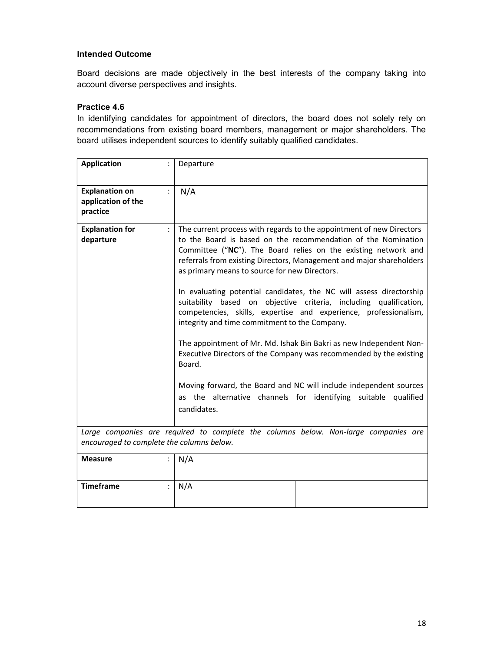Board decisions are made objectively in the best interests of the company taking into account diverse perspectives and insights.

### Practice 4.6

In identifying candidates for appointment of directors, the board does not solely rely on recommendations from existing board members, management or major shareholders. The board utilises independent sources to identify suitably qualified candidates.

| <b>Application</b>                                      | Departure                                                                                                                                                                                                                                                                                                                                                                                                                                                                                                                                                                                       |
|---------------------------------------------------------|-------------------------------------------------------------------------------------------------------------------------------------------------------------------------------------------------------------------------------------------------------------------------------------------------------------------------------------------------------------------------------------------------------------------------------------------------------------------------------------------------------------------------------------------------------------------------------------------------|
| <b>Explanation on</b><br>application of the<br>practice | N/A                                                                                                                                                                                                                                                                                                                                                                                                                                                                                                                                                                                             |
| <b>Explanation for</b>                                  | The current process with regards to the appointment of new Directors                                                                                                                                                                                                                                                                                                                                                                                                                                                                                                                            |
| departure                                               | to the Board is based on the recommendation of the Nomination<br>Committee ("NC"). The Board relies on the existing network and<br>referrals from existing Directors, Management and major shareholders<br>as primary means to source for new Directors.<br>In evaluating potential candidates, the NC will assess directorship<br>suitability based on objective criteria, including qualification,<br>competencies, skills, expertise and experience, professionalism,<br>integrity and time commitment to the Company.<br>The appointment of Mr. Md. Ishak Bin Bakri as new Independent Non- |
|                                                         | Executive Directors of the Company was recommended by the existing<br>Board.                                                                                                                                                                                                                                                                                                                                                                                                                                                                                                                    |
|                                                         | Moving forward, the Board and NC will include independent sources                                                                                                                                                                                                                                                                                                                                                                                                                                                                                                                               |
|                                                         | as the alternative channels for identifying suitable qualified<br>candidates.                                                                                                                                                                                                                                                                                                                                                                                                                                                                                                                   |
|                                                         | Large companies are required to complete the columns below. Non-large companies are                                                                                                                                                                                                                                                                                                                                                                                                                                                                                                             |
| encouraged to complete the columns below.               |                                                                                                                                                                                                                                                                                                                                                                                                                                                                                                                                                                                                 |
| <b>Measure</b>                                          | N/A                                                                                                                                                                                                                                                                                                                                                                                                                                                                                                                                                                                             |
| <b>Timeframe</b>                                        | N/A                                                                                                                                                                                                                                                                                                                                                                                                                                                                                                                                                                                             |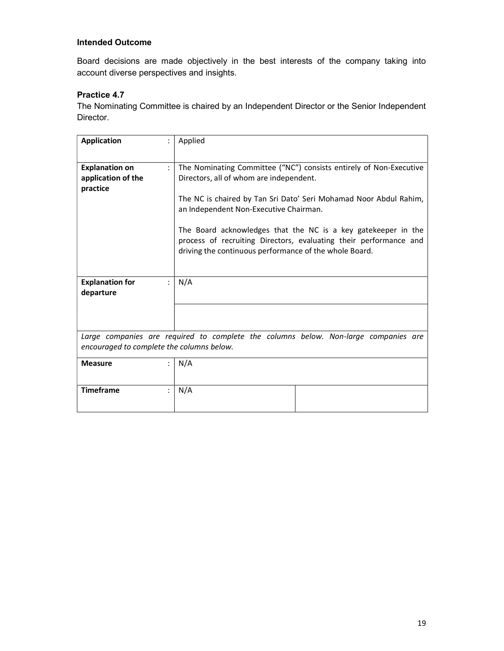Board decisions are made objectively in the best interests of the company taking into account diverse perspectives and insights.

# Practice 4.7

The Nominating Committee is chaired by an Independent Director or the Senior Independent Director.

| <b>Application</b>                                      | Applied                                                                                                                                                                                                                                                                                                                                                                                                                      |
|---------------------------------------------------------|------------------------------------------------------------------------------------------------------------------------------------------------------------------------------------------------------------------------------------------------------------------------------------------------------------------------------------------------------------------------------------------------------------------------------|
| <b>Explanation on</b><br>application of the<br>practice | The Nominating Committee ("NC") consists entirely of Non-Executive<br>Directors, all of whom are independent.<br>The NC is chaired by Tan Sri Dato' Seri Mohamad Noor Abdul Rahim,<br>an Independent Non-Executive Chairman.<br>The Board acknowledges that the NC is a key gatekeeper in the<br>process of recruiting Directors, evaluating their performance and<br>driving the continuous performance of the whole Board. |
|                                                         |                                                                                                                                                                                                                                                                                                                                                                                                                              |
| <b>Explanation for</b><br>departure                     | N/A                                                                                                                                                                                                                                                                                                                                                                                                                          |
|                                                         |                                                                                                                                                                                                                                                                                                                                                                                                                              |
| encouraged to complete the columns below.               | Large companies are required to complete the columns below. Non-large companies are                                                                                                                                                                                                                                                                                                                                          |
| <b>Measure</b>                                          | N/A                                                                                                                                                                                                                                                                                                                                                                                                                          |
| <b>Timeframe</b>                                        | N/A                                                                                                                                                                                                                                                                                                                                                                                                                          |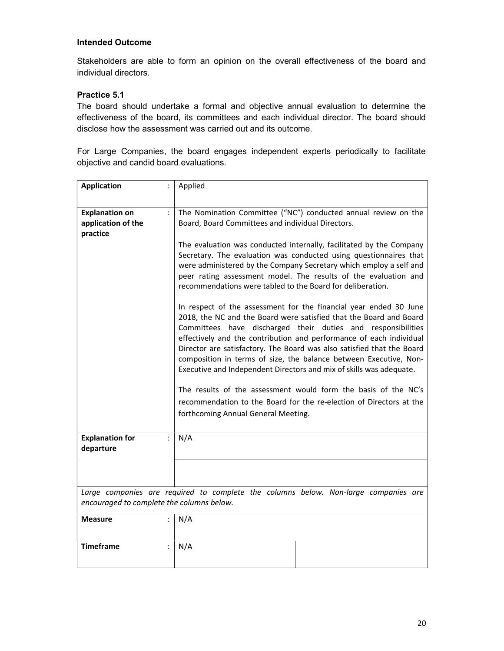Stakeholders are able to form an opinion on the overall effectiveness of the board and individual directors.

# Practice 5.1

The board should undertake a formal and objective annual evaluation to determine the effectiveness of the board, its committees and each individual director. The board should disclose how the assessment was carried out and its outcome.

For Large Companies, the board engages independent experts periodically to facilitate objective and candid board evaluations.

| <b>Application</b>                                      | Applied                                                                                                                                                                                                                                                                                                                                                                                                                                                                                                                                                                                                                                                                              |
|---------------------------------------------------------|--------------------------------------------------------------------------------------------------------------------------------------------------------------------------------------------------------------------------------------------------------------------------------------------------------------------------------------------------------------------------------------------------------------------------------------------------------------------------------------------------------------------------------------------------------------------------------------------------------------------------------------------------------------------------------------|
|                                                         |                                                                                                                                                                                                                                                                                                                                                                                                                                                                                                                                                                                                                                                                                      |
| <b>Explanation on</b><br>application of the<br>practice | The Nomination Committee ("NC") conducted annual review on the<br>Board, Board Committees and individual Directors.                                                                                                                                                                                                                                                                                                                                                                                                                                                                                                                                                                  |
|                                                         | The evaluation was conducted internally, facilitated by the Company<br>Secretary. The evaluation was conducted using questionnaires that<br>were administered by the Company Secretary which employ a self and<br>peer rating assessment model. The results of the evaluation and<br>recommendations were tabled to the Board for deliberation.                                                                                                                                                                                                                                                                                                                                      |
|                                                         | In respect of the assessment for the financial year ended 30 June<br>2018, the NC and the Board were satisfied that the Board and Board<br>Committees have discharged their duties and responsibilities<br>effectively and the contribution and performance of each individual<br>Director are satisfactory. The Board was also satisfied that the Board<br>composition in terms of size, the balance between Executive, Non-<br>Executive and Independent Directors and mix of skills was adequate.<br>The results of the assessment would form the basis of the NC's<br>recommendation to the Board for the re-election of Directors at the<br>forthcoming Annual General Meeting. |
| <b>Explanation for</b><br>÷<br>departure                | N/A                                                                                                                                                                                                                                                                                                                                                                                                                                                                                                                                                                                                                                                                                  |
|                                                         |                                                                                                                                                                                                                                                                                                                                                                                                                                                                                                                                                                                                                                                                                      |
| encouraged to complete the columns below.               | Large companies are required to complete the columns below. Non-large companies are                                                                                                                                                                                                                                                                                                                                                                                                                                                                                                                                                                                                  |
| <b>Measure</b><br>$\ddot{\cdot}$                        | N/A                                                                                                                                                                                                                                                                                                                                                                                                                                                                                                                                                                                                                                                                                  |
| <b>Timeframe</b>                                        | N/A                                                                                                                                                                                                                                                                                                                                                                                                                                                                                                                                                                                                                                                                                  |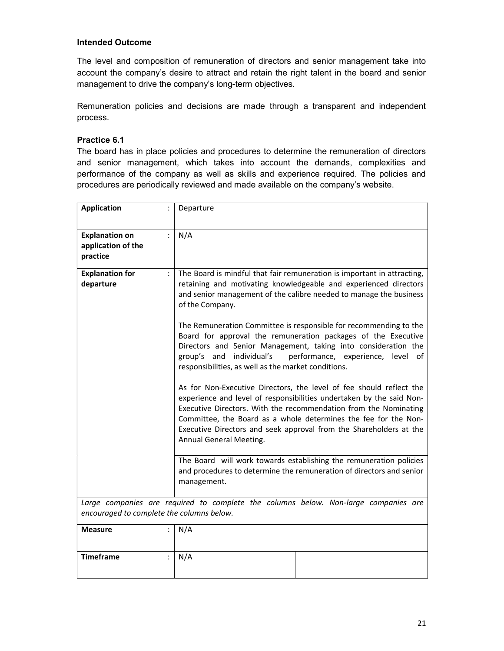The level and composition of remuneration of directors and senior management take into account the company's desire to attract and retain the right talent in the board and senior management to drive the company's long-term objectives.

Remuneration policies and decisions are made through a transparent and independent process.

### Practice 6.1

The board has in place policies and procedures to determine the remuneration of directors and senior management, which takes into account the demands, complexities and performance of the company as well as skills and experience required. The policies and procedures are periodically reviewed and made available on the company's website.

| <b>Application</b>                                      | Departure                                                                                                                                                                                                                                                                                                                                                                           |
|---------------------------------------------------------|-------------------------------------------------------------------------------------------------------------------------------------------------------------------------------------------------------------------------------------------------------------------------------------------------------------------------------------------------------------------------------------|
| <b>Explanation on</b><br>application of the<br>practice | N/A                                                                                                                                                                                                                                                                                                                                                                                 |
| <b>Explanation for</b><br>departure                     | The Board is mindful that fair remuneration is important in attracting,<br>retaining and motivating knowledgeable and experienced directors<br>and senior management of the calibre needed to manage the business<br>of the Company.                                                                                                                                                |
|                                                         | The Remuneration Committee is responsible for recommending to the<br>Board for approval the remuneration packages of the Executive<br>Directors and Senior Management, taking into consideration the<br>individual's<br>group's and<br>performance, experience, level of<br>responsibilities, as well as the market conditions.                                                     |
|                                                         | As for Non-Executive Directors, the level of fee should reflect the<br>experience and level of responsibilities undertaken by the said Non-<br>Executive Directors. With the recommendation from the Nominating<br>Committee, the Board as a whole determines the fee for the Non-<br>Executive Directors and seek approval from the Shareholders at the<br>Annual General Meeting. |
|                                                         | The Board will work towards establishing the remuneration policies<br>and procedures to determine the remuneration of directors and senior<br>management.                                                                                                                                                                                                                           |
| encouraged to complete the columns below.               | Large companies are required to complete the columns below. Non-large companies are                                                                                                                                                                                                                                                                                                 |
| <b>Measure</b>                                          | N/A                                                                                                                                                                                                                                                                                                                                                                                 |
| <b>Timeframe</b>                                        | N/A                                                                                                                                                                                                                                                                                                                                                                                 |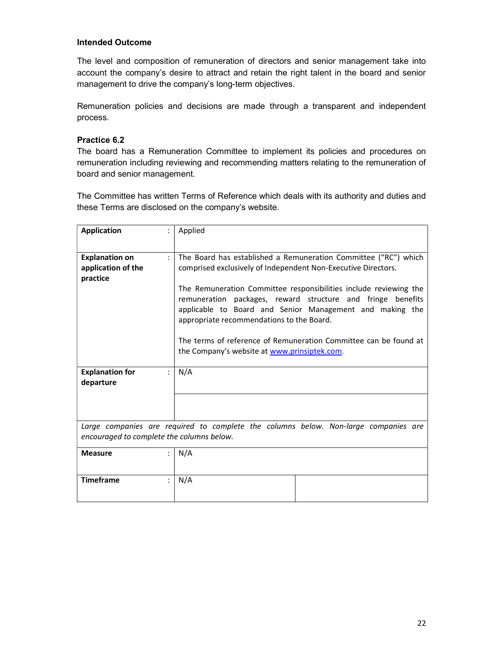The level and composition of remuneration of directors and senior management take into account the company's desire to attract and retain the right talent in the board and senior management to drive the company's long-term objectives.

Remuneration policies and decisions are made through a transparent and independent process.

### Practice 6.2

The board has a Remuneration Committee to implement its policies and procedures on remuneration including reviewing and recommending matters relating to the remuneration of board and senior management.

The Committee has written Terms of Reference which deals with its authority and duties and these Terms are disclosed on the company's website.

| <b>Application</b>                        |   | Applied                                                                                                                                                                                                                                   |
|-------------------------------------------|---|-------------------------------------------------------------------------------------------------------------------------------------------------------------------------------------------------------------------------------------------|
|                                           |   |                                                                                                                                                                                                                                           |
| <b>Explanation on</b>                     | ٠ | The Board has established a Remuneration Committee ("RC") which                                                                                                                                                                           |
| application of the                        |   | comprised exclusively of Independent Non-Executive Directors.                                                                                                                                                                             |
| practice                                  |   |                                                                                                                                                                                                                                           |
|                                           |   | The Remuneration Committee responsibilities include reviewing the<br>remuneration packages, reward structure and fringe benefits<br>applicable to Board and Senior Management and making the<br>appropriate recommendations to the Board. |
|                                           |   | The terms of reference of Remuneration Committee can be found at<br>the Company's website at www.prinsiptek.com.                                                                                                                          |
| <b>Explanation for</b>                    |   | N/A                                                                                                                                                                                                                                       |
| departure                                 |   |                                                                                                                                                                                                                                           |
|                                           |   |                                                                                                                                                                                                                                           |
|                                           |   |                                                                                                                                                                                                                                           |
| encouraged to complete the columns below. |   | Large companies are required to complete the columns below. Non-large companies are                                                                                                                                                       |
| <b>Measure</b>                            |   | N/A                                                                                                                                                                                                                                       |
|                                           |   |                                                                                                                                                                                                                                           |
| <b>Timeframe</b>                          |   | N/A                                                                                                                                                                                                                                       |
|                                           |   |                                                                                                                                                                                                                                           |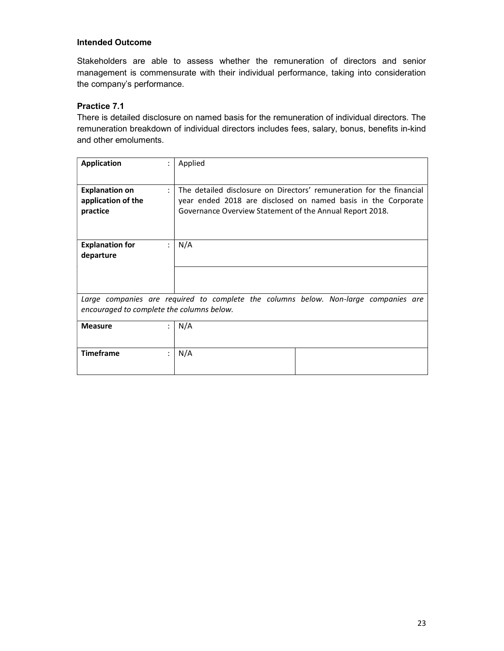Stakeholders are able to assess whether the remuneration of directors and senior management is commensurate with their individual performance, taking into consideration the company's performance.

# Practice 7.1

There is detailed disclosure on named basis for the remuneration of individual directors. The remuneration breakdown of individual directors includes fees, salary, bonus, benefits in-kind and other emoluments.

| <b>Application</b>                        |                | Applied                                                                             |
|-------------------------------------------|----------------|-------------------------------------------------------------------------------------|
|                                           |                |                                                                                     |
| <b>Explanation on</b>                     | $\ddot{\cdot}$ | The detailed disclosure on Directors' remuneration for the financial                |
| application of the                        |                | year ended 2018 are disclosed on named basis in the Corporate                       |
| practice                                  |                | Governance Overview Statement of the Annual Report 2018.                            |
|                                           |                |                                                                                     |
|                                           |                |                                                                                     |
| <b>Explanation for</b>                    | $\ddot{\cdot}$ | N/A                                                                                 |
| departure                                 |                |                                                                                     |
|                                           |                |                                                                                     |
|                                           |                |                                                                                     |
|                                           |                |                                                                                     |
|                                           |                | Large companies are required to complete the columns below. Non-large companies are |
| encouraged to complete the columns below. |                |                                                                                     |
|                                           |                |                                                                                     |
| <b>Measure</b>                            |                | N/A                                                                                 |
|                                           |                |                                                                                     |
|                                           |                |                                                                                     |
| <b>Timeframe</b>                          |                | N/A                                                                                 |
|                                           |                |                                                                                     |
|                                           |                |                                                                                     |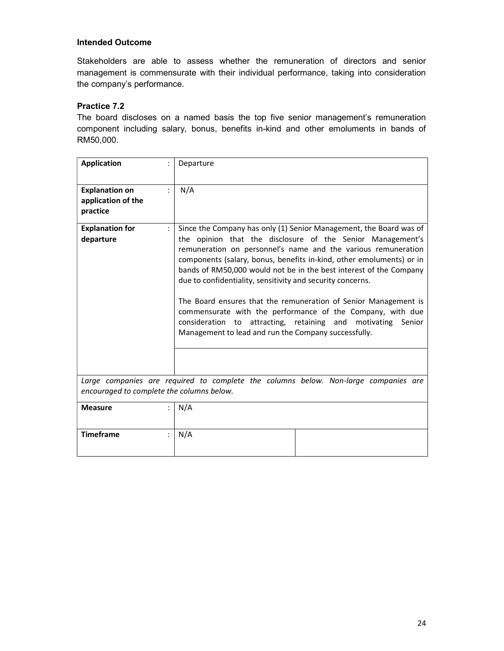Stakeholders are able to assess whether the remuneration of directors and senior management is commensurate with their individual performance, taking into consideration the company's performance.

# Practice 7.2

The board discloses on a named basis the top five senior management's remuneration component including salary, bonus, benefits in-kind and other emoluments in bands of RM50,000.

| <b>Application</b>                                      | Departure                                                                                                                                                                                                                                                                                                                                                                                                                                                                                                                                                                                                                                                              |
|---------------------------------------------------------|------------------------------------------------------------------------------------------------------------------------------------------------------------------------------------------------------------------------------------------------------------------------------------------------------------------------------------------------------------------------------------------------------------------------------------------------------------------------------------------------------------------------------------------------------------------------------------------------------------------------------------------------------------------------|
| <b>Explanation on</b><br>application of the<br>practice | N/A                                                                                                                                                                                                                                                                                                                                                                                                                                                                                                                                                                                                                                                                    |
| <b>Explanation for</b><br>departure                     | Since the Company has only (1) Senior Management, the Board was of<br>the opinion that the disclosure of the Senior Management's<br>remuneration on personnel's name and the various remuneration<br>components (salary, bonus, benefits in-kind, other emoluments) or in<br>bands of RM50,000 would not be in the best interest of the Company<br>due to confidentiality, sensitivity and security concerns.<br>The Board ensures that the remuneration of Senior Management is<br>commensurate with the performance of the Company, with due<br>consideration to attracting, retaining and motivating Senior<br>Management to lead and run the Company successfully. |
| encouraged to complete the columns below.               | Large companies are required to complete the columns below. Non-large companies are                                                                                                                                                                                                                                                                                                                                                                                                                                                                                                                                                                                    |
| <b>Measure</b>                                          | N/A                                                                                                                                                                                                                                                                                                                                                                                                                                                                                                                                                                                                                                                                    |
| <b>Timeframe</b>                                        | N/A                                                                                                                                                                                                                                                                                                                                                                                                                                                                                                                                                                                                                                                                    |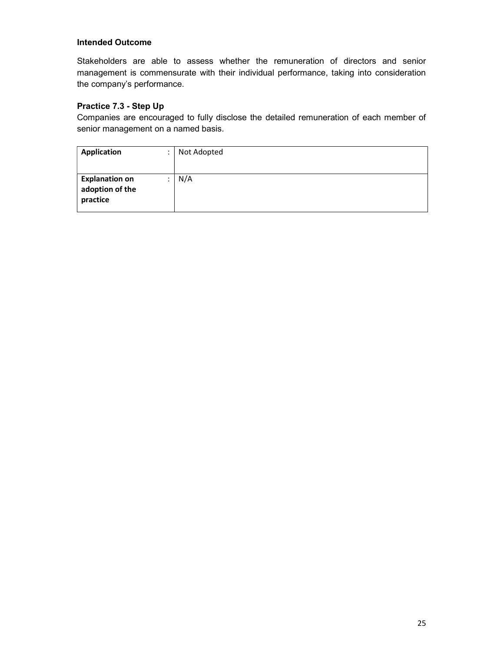Stakeholders are able to assess whether the remuneration of directors and senior management is commensurate with their individual performance, taking into consideration the company's performance.

# Practice 7.3 - Step Up

Companies are encouraged to fully disclose the detailed remuneration of each member of senior management on a named basis.

| <b>Application</b>                                   | $\cdot$ | Not Adopted |
|------------------------------------------------------|---------|-------------|
|                                                      |         |             |
| <b>Explanation on</b><br>adoption of the<br>practice |         | N/A         |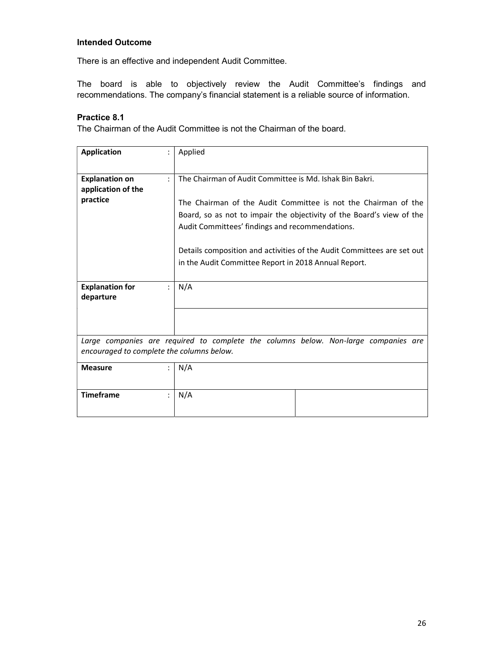There is an effective and independent Audit Committee.

The board is able to objectively review the Audit Committee's findings and recommendations. The company's financial statement is a reliable source of information.

# Practice 8.1

The Chairman of the Audit Committee is not the Chairman of the board.

| <b>Application</b>                                      | Applied                                                                                                                                                                                                                                                                                                                         |  |  |  |  |  |  |
|---------------------------------------------------------|---------------------------------------------------------------------------------------------------------------------------------------------------------------------------------------------------------------------------------------------------------------------------------------------------------------------------------|--|--|--|--|--|--|
| <b>Explanation on</b><br>application of the<br>practice | The Chairman of Audit Committee is Md. Ishak Bin Bakri.<br>The Chairman of the Audit Committee is not the Chairman of the<br>Board, so as not to impair the objectivity of the Board's view of the<br>Audit Committees' findings and recommendations.<br>Details composition and activities of the Audit Committees are set out |  |  |  |  |  |  |
| <b>Explanation for</b><br>departure                     | in the Audit Committee Report in 2018 Annual Report.<br>N/A                                                                                                                                                                                                                                                                     |  |  |  |  |  |  |
| encouraged to complete the columns below.               | Large companies are required to complete the columns below. Non-large companies are                                                                                                                                                                                                                                             |  |  |  |  |  |  |
| <b>Measure</b>                                          | N/A                                                                                                                                                                                                                                                                                                                             |  |  |  |  |  |  |
| <b>Timeframe</b>                                        | N/A                                                                                                                                                                                                                                                                                                                             |  |  |  |  |  |  |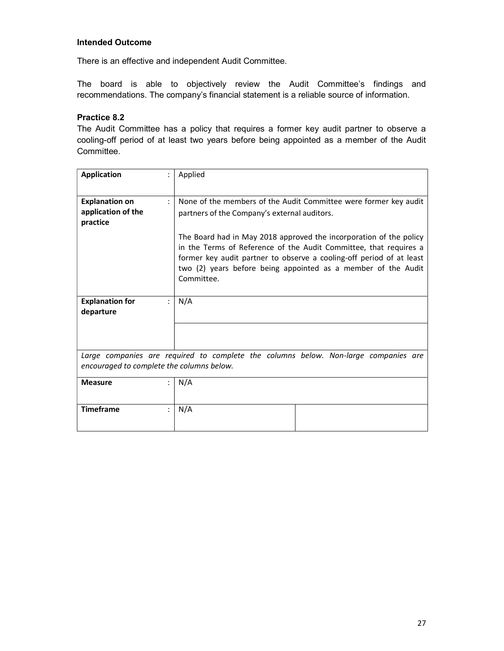There is an effective and independent Audit Committee.

The board is able to objectively review the Audit Committee's findings and recommendations. The company's financial statement is a reliable source of information.

#### Practice 8.2

The Audit Committee has a policy that requires a former key audit partner to observe a cooling-off period of at least two years before being appointed as a member of the Audit Committee.

| <b>Application</b>                                                                                                               | Applied                                                                                                                                                                                                                                                                                        |  |  |  |  |  |  |
|----------------------------------------------------------------------------------------------------------------------------------|------------------------------------------------------------------------------------------------------------------------------------------------------------------------------------------------------------------------------------------------------------------------------------------------|--|--|--|--|--|--|
|                                                                                                                                  |                                                                                                                                                                                                                                                                                                |  |  |  |  |  |  |
| <b>Explanation on</b>                                                                                                            | None of the members of the Audit Committee were former key audit                                                                                                                                                                                                                               |  |  |  |  |  |  |
| application of the<br>practice                                                                                                   | partners of the Company's external auditors.                                                                                                                                                                                                                                                   |  |  |  |  |  |  |
|                                                                                                                                  | The Board had in May 2018 approved the incorporation of the policy<br>in the Terms of Reference of the Audit Committee, that requires a<br>former key audit partner to observe a cooling-off period of at least<br>two (2) years before being appointed as a member of the Audit<br>Committee. |  |  |  |  |  |  |
| <b>Explanation for</b><br>departure                                                                                              | N/A                                                                                                                                                                                                                                                                                            |  |  |  |  |  |  |
|                                                                                                                                  |                                                                                                                                                                                                                                                                                                |  |  |  |  |  |  |
| Large companies are required to complete the columns below. Non-large companies are<br>encouraged to complete the columns below. |                                                                                                                                                                                                                                                                                                |  |  |  |  |  |  |
| <b>Measure</b>                                                                                                                   | N/A                                                                                                                                                                                                                                                                                            |  |  |  |  |  |  |
| <b>Timeframe</b>                                                                                                                 | N/A                                                                                                                                                                                                                                                                                            |  |  |  |  |  |  |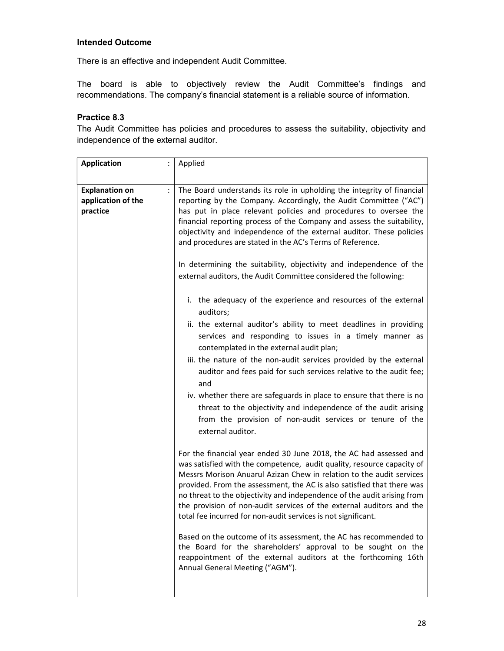There is an effective and independent Audit Committee.

The board is able to objectively review the Audit Committee's findings and recommendations. The company's financial statement is a reliable source of information.

# Practice 8.3

The Audit Committee has policies and procedures to assess the suitability, objectivity and independence of the external auditor.

| <b>Application</b>                                      | Applied                                                                                                                                                                                                                                                                                                                                                                                                                                                                                                            |
|---------------------------------------------------------|--------------------------------------------------------------------------------------------------------------------------------------------------------------------------------------------------------------------------------------------------------------------------------------------------------------------------------------------------------------------------------------------------------------------------------------------------------------------------------------------------------------------|
|                                                         |                                                                                                                                                                                                                                                                                                                                                                                                                                                                                                                    |
| <b>Explanation on</b><br>application of the<br>practice | The Board understands its role in upholding the integrity of financial<br>reporting by the Company. Accordingly, the Audit Committee ("AC")<br>has put in place relevant policies and procedures to oversee the<br>financial reporting process of the Company and assess the suitability,<br>objectivity and independence of the external auditor. These policies<br>and procedures are stated in the AC's Terms of Reference.                                                                                     |
|                                                         | In determining the suitability, objectivity and independence of the<br>external auditors, the Audit Committee considered the following:                                                                                                                                                                                                                                                                                                                                                                            |
|                                                         | i. the adequacy of the experience and resources of the external<br>auditors;                                                                                                                                                                                                                                                                                                                                                                                                                                       |
|                                                         | ii. the external auditor's ability to meet deadlines in providing<br>services and responding to issues in a timely manner as<br>contemplated in the external audit plan;                                                                                                                                                                                                                                                                                                                                           |
|                                                         | iii. the nature of the non-audit services provided by the external<br>auditor and fees paid for such services relative to the audit fee;<br>and                                                                                                                                                                                                                                                                                                                                                                    |
|                                                         | iv. whether there are safeguards in place to ensure that there is no<br>threat to the objectivity and independence of the audit arising<br>from the provision of non-audit services or tenure of the<br>external auditor.                                                                                                                                                                                                                                                                                          |
|                                                         | For the financial year ended 30 June 2018, the AC had assessed and<br>was satisfied with the competence, audit quality, resource capacity of<br>Messrs Morison Anuarul Azizan Chew in relation to the audit services<br>provided. From the assessment, the AC is also satisfied that there was<br>no threat to the objectivity and independence of the audit arising from<br>the provision of non-audit services of the external auditors and the<br>total fee incurred for non-audit services is not significant. |
|                                                         | Based on the outcome of its assessment, the AC has recommended to<br>the Board for the shareholders' approval to be sought on the<br>reappointment of the external auditors at the forthcoming 16th<br>Annual General Meeting ("AGM").                                                                                                                                                                                                                                                                             |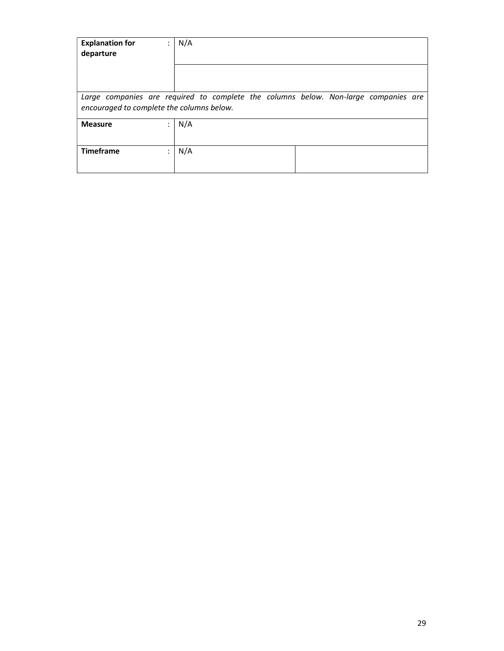| <b>Explanation for</b><br>departure                                                                                              | $\bullet$<br>$\cdot$ | N/A |  |  |  |
|----------------------------------------------------------------------------------------------------------------------------------|----------------------|-----|--|--|--|
|                                                                                                                                  |                      |     |  |  |  |
| Large companies are required to complete the columns below. Non-large companies are<br>encouraged to complete the columns below. |                      |     |  |  |  |
| <b>Measure</b>                                                                                                                   | ٠<br>$\cdot$         | N/A |  |  |  |
| <b>Timeframe</b>                                                                                                                 | $\bullet$<br>$\cdot$ | N/A |  |  |  |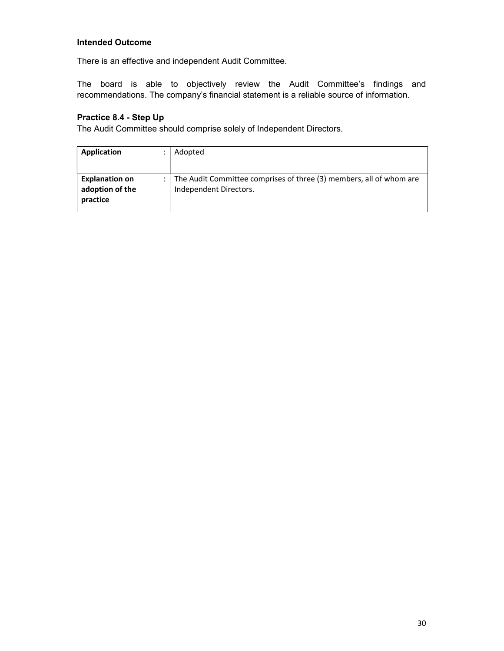There is an effective and independent Audit Committee.

The board is able to objectively review the Audit Committee's findings and recommendations. The company's financial statement is a reliable source of information.

# Practice 8.4 - Step Up

The Audit Committee should comprise solely of Independent Directors.

| Application                                          | Adopted                                                                                       |
|------------------------------------------------------|-----------------------------------------------------------------------------------------------|
|                                                      |                                                                                               |
| <b>Explanation on</b><br>adoption of the<br>practice | The Audit Committee comprises of three (3) members, all of whom are<br>Independent Directors. |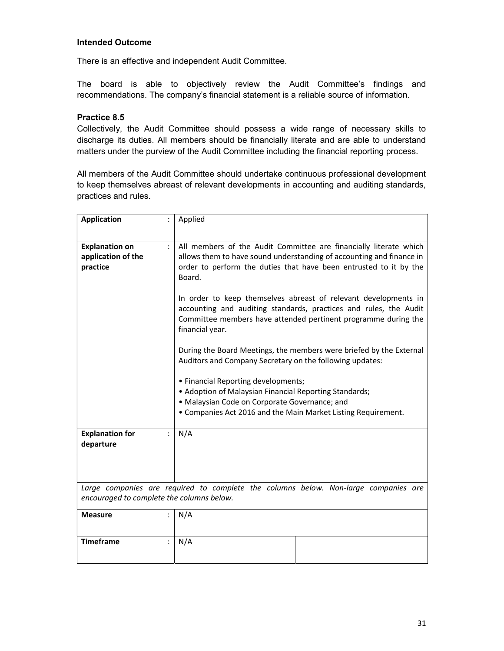There is an effective and independent Audit Committee.

The board is able to objectively review the Audit Committee's findings and recommendations. The company's financial statement is a reliable source of information.

# Practice 8.5

Collectively, the Audit Committee should possess a wide range of necessary skills to discharge its duties. All members should be financially literate and are able to understand matters under the purview of the Audit Committee including the financial reporting process.

All members of the Audit Committee should undertake continuous professional development to keep themselves abreast of relevant developments in accounting and auditing standards, practices and rules.

| <b>Application</b>                                      | Applied                                                                                                                                                                                                                                                                                                                                                                                                                                                                                                                                                                                                                                                                                                                                                                                                     |  |  |  |  |  |  |
|---------------------------------------------------------|-------------------------------------------------------------------------------------------------------------------------------------------------------------------------------------------------------------------------------------------------------------------------------------------------------------------------------------------------------------------------------------------------------------------------------------------------------------------------------------------------------------------------------------------------------------------------------------------------------------------------------------------------------------------------------------------------------------------------------------------------------------------------------------------------------------|--|--|--|--|--|--|
| <b>Explanation on</b><br>application of the<br>practice | All members of the Audit Committee are financially literate which<br>allows them to have sound understanding of accounting and finance in<br>order to perform the duties that have been entrusted to it by the<br>Board.<br>In order to keep themselves abreast of relevant developments in<br>accounting and auditing standards, practices and rules, the Audit<br>Committee members have attended pertinent programme during the<br>financial year.<br>During the Board Meetings, the members were briefed by the External<br>Auditors and Company Secretary on the following updates:<br>• Financial Reporting developments;<br>• Adoption of Malaysian Financial Reporting Standards;<br>· Malaysian Code on Corporate Governance; and<br>• Companies Act 2016 and the Main Market Listing Requirement. |  |  |  |  |  |  |
| <b>Explanation for</b><br>departure                     | N/A                                                                                                                                                                                                                                                                                                                                                                                                                                                                                                                                                                                                                                                                                                                                                                                                         |  |  |  |  |  |  |
|                                                         |                                                                                                                                                                                                                                                                                                                                                                                                                                                                                                                                                                                                                                                                                                                                                                                                             |  |  |  |  |  |  |
|                                                         |                                                                                                                                                                                                                                                                                                                                                                                                                                                                                                                                                                                                                                                                                                                                                                                                             |  |  |  |  |  |  |
| encouraged to complete the columns below.               | Large companies are required to complete the columns below. Non-large companies are                                                                                                                                                                                                                                                                                                                                                                                                                                                                                                                                                                                                                                                                                                                         |  |  |  |  |  |  |
| <b>Measure</b>                                          | N/A                                                                                                                                                                                                                                                                                                                                                                                                                                                                                                                                                                                                                                                                                                                                                                                                         |  |  |  |  |  |  |
| <b>Timeframe</b>                                        | N/A                                                                                                                                                                                                                                                                                                                                                                                                                                                                                                                                                                                                                                                                                                                                                                                                         |  |  |  |  |  |  |
|                                                         |                                                                                                                                                                                                                                                                                                                                                                                                                                                                                                                                                                                                                                                                                                                                                                                                             |  |  |  |  |  |  |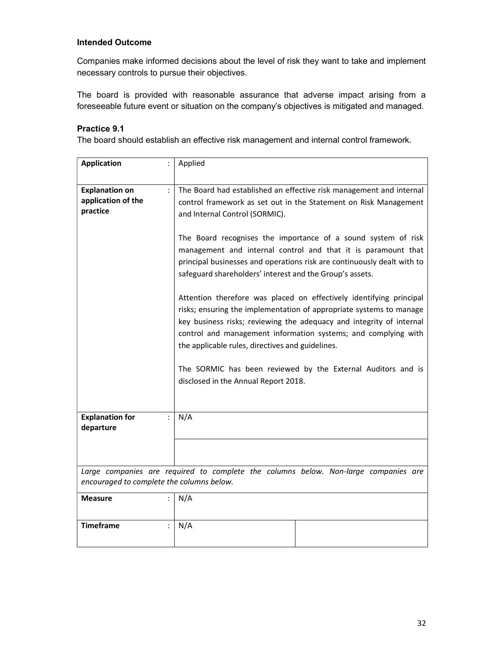Companies make informed decisions about the level of risk they want to take and implement necessary controls to pursue their objectives.

The board is provided with reasonable assurance that adverse impact arising from a foreseeable future event or situation on the company's objectives is mitigated and managed.

#### Practice 9.1

The board should establish an effective risk management and internal control framework.

| <b>Application</b>                                      |                | Applied                                                                                                                                                                                                                                                                                                                                                                                                                                          |  |  |  |  |  |  |  |  |
|---------------------------------------------------------|----------------|--------------------------------------------------------------------------------------------------------------------------------------------------------------------------------------------------------------------------------------------------------------------------------------------------------------------------------------------------------------------------------------------------------------------------------------------------|--|--|--|--|--|--|--|--|
| <b>Explanation on</b><br>application of the<br>practice | $\ddot{\cdot}$ | The Board had established an effective risk management and internal<br>control framework as set out in the Statement on Risk Management<br>and Internal Control (SORMIC).                                                                                                                                                                                                                                                                        |  |  |  |  |  |  |  |  |
|                                                         |                | The Board recognises the importance of a sound system of risk<br>management and internal control and that it is paramount that<br>principal businesses and operations risk are continuously dealt with to<br>safeguard shareholders' interest and the Group's assets.                                                                                                                                                                            |  |  |  |  |  |  |  |  |
|                                                         |                | Attention therefore was placed on effectively identifying principal<br>risks; ensuring the implementation of appropriate systems to manage<br>key business risks; reviewing the adequacy and integrity of internal<br>control and management information systems; and complying with<br>the applicable rules, directives and guidelines.<br>The SORMIC has been reviewed by the External Auditors and is<br>disclosed in the Annual Report 2018. |  |  |  |  |  |  |  |  |
|                                                         |                |                                                                                                                                                                                                                                                                                                                                                                                                                                                  |  |  |  |  |  |  |  |  |
| <b>Explanation for</b><br>departure                     |                | N/A                                                                                                                                                                                                                                                                                                                                                                                                                                              |  |  |  |  |  |  |  |  |
|                                                         |                |                                                                                                                                                                                                                                                                                                                                                                                                                                                  |  |  |  |  |  |  |  |  |
| encouraged to complete the columns below.               |                | Large companies are required to complete the columns below. Non-large companies are                                                                                                                                                                                                                                                                                                                                                              |  |  |  |  |  |  |  |  |
| <b>Measure</b>                                          |                | N/A                                                                                                                                                                                                                                                                                                                                                                                                                                              |  |  |  |  |  |  |  |  |
| <b>Timeframe</b>                                        |                | N/A                                                                                                                                                                                                                                                                                                                                                                                                                                              |  |  |  |  |  |  |  |  |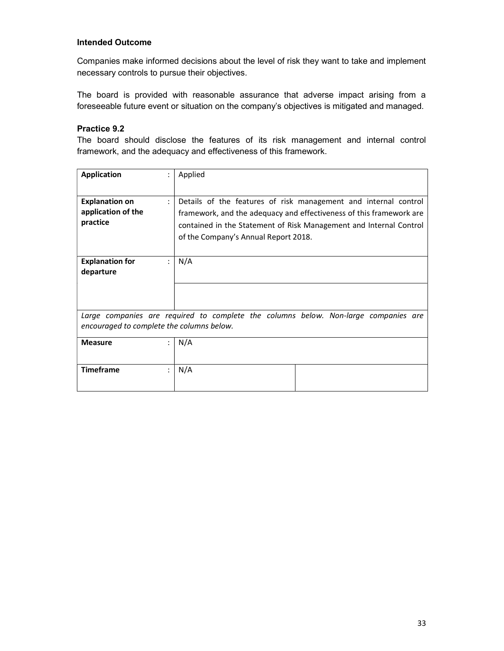Companies make informed decisions about the level of risk they want to take and implement necessary controls to pursue their objectives.

The board is provided with reasonable assurance that adverse impact arising from a foreseeable future event or situation on the company's objectives is mitigated and managed.

### Practice 9.2

The board should disclose the features of its risk management and internal control framework, and the adequacy and effectiveness of this framework.

| <b>Application</b>                                      |                | Applied                                                                                                                                                                                                                                              |
|---------------------------------------------------------|----------------|------------------------------------------------------------------------------------------------------------------------------------------------------------------------------------------------------------------------------------------------------|
| <b>Explanation on</b><br>application of the<br>practice | $\ddot{\cdot}$ | Details of the features of risk management and internal control<br>framework, and the adequacy and effectiveness of this framework are<br>contained in the Statement of Risk Management and Internal Control<br>of the Company's Annual Report 2018. |
| <b>Explanation for</b><br>departure                     |                | N/A                                                                                                                                                                                                                                                  |
|                                                         |                |                                                                                                                                                                                                                                                      |
| encouraged to complete the columns below.               |                | Large companies are required to complete the columns below. Non-large companies are                                                                                                                                                                  |
| <b>Measure</b>                                          |                | N/A                                                                                                                                                                                                                                                  |
| <b>Timeframe</b>                                        | ÷              | N/A                                                                                                                                                                                                                                                  |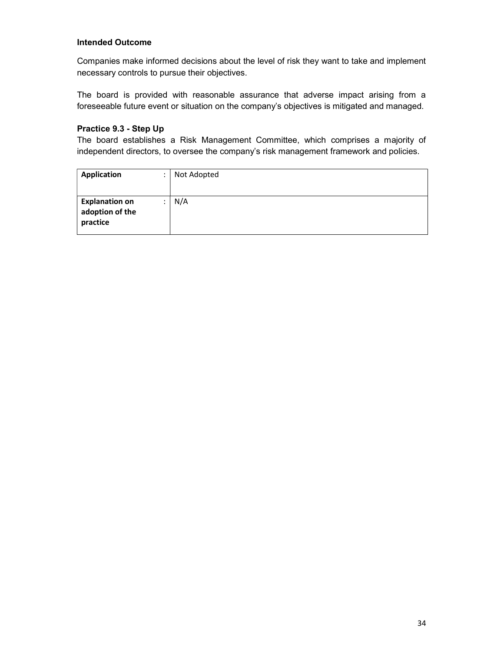Companies make informed decisions about the level of risk they want to take and implement necessary controls to pursue their objectives.

The board is provided with reasonable assurance that adverse impact arising from a foreseeable future event or situation on the company's objectives is mitigated and managed.

# Practice 9.3 - Step Up

The board establishes a Risk Management Committee, which comprises a majority of independent directors, to oversee the company's risk management framework and policies.

| <b>Application</b>                                   | Not Adopted |
|------------------------------------------------------|-------------|
|                                                      |             |
| <b>Explanation on</b><br>adoption of the<br>practice | N/A         |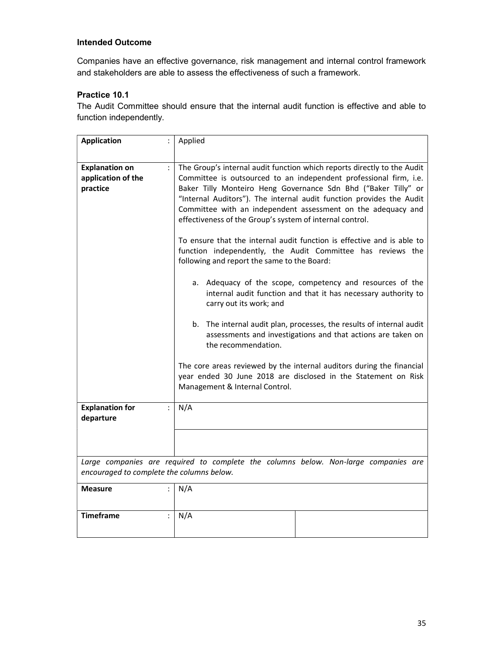Companies have an effective governance, risk management and internal control framework and stakeholders are able to assess the effectiveness of such a framework.

# Practice 10.1

The Audit Committee should ensure that the internal audit function is effective and able to function independently.

| <b>Application</b>                                      | Applied                                                                                                                                                                                                                                                                                                                                                                                                                                                                                                                                                                                                                                                                                                                                                                                                                                                                                                                                                                                                                                                                                                          |  |  |  |  |  |
|---------------------------------------------------------|------------------------------------------------------------------------------------------------------------------------------------------------------------------------------------------------------------------------------------------------------------------------------------------------------------------------------------------------------------------------------------------------------------------------------------------------------------------------------------------------------------------------------------------------------------------------------------------------------------------------------------------------------------------------------------------------------------------------------------------------------------------------------------------------------------------------------------------------------------------------------------------------------------------------------------------------------------------------------------------------------------------------------------------------------------------------------------------------------------------|--|--|--|--|--|
| <b>Explanation on</b><br>application of the<br>practice | The Group's internal audit function which reports directly to the Audit<br>Committee is outsourced to an independent professional firm, i.e.<br>Baker Tilly Monteiro Heng Governance Sdn Bhd ("Baker Tilly" or<br>"Internal Auditors"). The internal audit function provides the Audit<br>Committee with an independent assessment on the adequacy and<br>effectiveness of the Group's system of internal control.<br>To ensure that the internal audit function is effective and is able to<br>function independently, the Audit Committee has reviews the<br>following and report the same to the Board:<br>a. Adequacy of the scope, competency and resources of the<br>internal audit function and that it has necessary authority to<br>carry out its work; and<br>b. The internal audit plan, processes, the results of internal audit<br>assessments and investigations and that actions are taken on<br>the recommendation.<br>The core areas reviewed by the internal auditors during the financial<br>year ended 30 June 2018 are disclosed in the Statement on Risk<br>Management & Internal Control. |  |  |  |  |  |
| <b>Explanation for</b><br>departure                     | N/A                                                                                                                                                                                                                                                                                                                                                                                                                                                                                                                                                                                                                                                                                                                                                                                                                                                                                                                                                                                                                                                                                                              |  |  |  |  |  |
|                                                         |                                                                                                                                                                                                                                                                                                                                                                                                                                                                                                                                                                                                                                                                                                                                                                                                                                                                                                                                                                                                                                                                                                                  |  |  |  |  |  |
| encouraged to complete the columns below.               | Large companies are required to complete the columns below. Non-large companies are                                                                                                                                                                                                                                                                                                                                                                                                                                                                                                                                                                                                                                                                                                                                                                                                                                                                                                                                                                                                                              |  |  |  |  |  |
| <b>Measure</b>                                          | N/A                                                                                                                                                                                                                                                                                                                                                                                                                                                                                                                                                                                                                                                                                                                                                                                                                                                                                                                                                                                                                                                                                                              |  |  |  |  |  |
| <b>Timeframe</b>                                        | N/A                                                                                                                                                                                                                                                                                                                                                                                                                                                                                                                                                                                                                                                                                                                                                                                                                                                                                                                                                                                                                                                                                                              |  |  |  |  |  |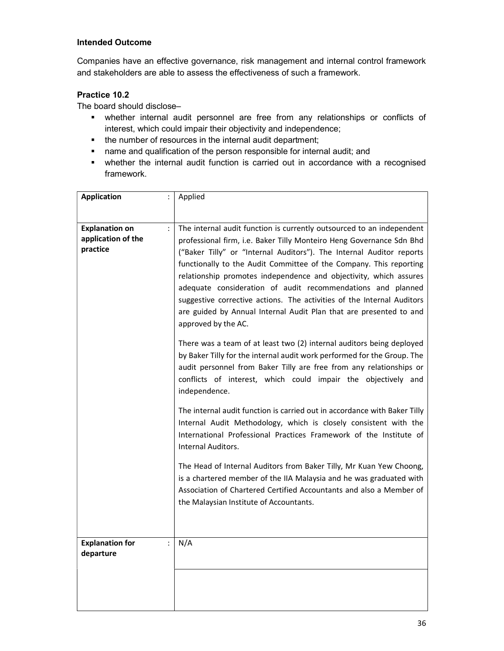Companies have an effective governance, risk management and internal control framework and stakeholders are able to assess the effectiveness of such a framework.

# Practice 10.2

The board should disclose–

- whether internal audit personnel are free from any relationships or conflicts of interest, which could impair their objectivity and independence;
- the number of resources in the internal audit department;
- name and qualification of the person responsible for internal audit; and
- whether the internal audit function is carried out in accordance with a recognised framework.

| <b>Application</b>                                      |   | Applied                                                                                                                                                                                                                                                                                                                                                                                                                                                                                                                                                                                                                                                                                                                                                    |
|---------------------------------------------------------|---|------------------------------------------------------------------------------------------------------------------------------------------------------------------------------------------------------------------------------------------------------------------------------------------------------------------------------------------------------------------------------------------------------------------------------------------------------------------------------------------------------------------------------------------------------------------------------------------------------------------------------------------------------------------------------------------------------------------------------------------------------------|
|                                                         |   |                                                                                                                                                                                                                                                                                                                                                                                                                                                                                                                                                                                                                                                                                                                                                            |
| <b>Explanation on</b><br>application of the<br>practice | ÷ | The internal audit function is currently outsourced to an independent<br>professional firm, i.e. Baker Tilly Monteiro Heng Governance Sdn Bhd<br>("Baker Tilly" or "Internal Auditors"). The Internal Auditor reports<br>functionally to the Audit Committee of the Company. This reporting<br>relationship promotes independence and objectivity, which assures<br>adequate consideration of audit recommendations and planned<br>suggestive corrective actions. The activities of the Internal Auditors<br>are guided by Annual Internal Audit Plan that are presented to and<br>approved by the AC.<br>There was a team of at least two (2) internal auditors being deployed<br>by Baker Tilly for the internal audit work performed for the Group. The |
|                                                         |   | audit personnel from Baker Tilly are free from any relationships or<br>conflicts of interest, which could impair the objectively and<br>independence.<br>The internal audit function is carried out in accordance with Baker Tilly<br>Internal Audit Methodology, which is closely consistent with the<br>International Professional Practices Framework of the Institute of                                                                                                                                                                                                                                                                                                                                                                               |
|                                                         |   | Internal Auditors.                                                                                                                                                                                                                                                                                                                                                                                                                                                                                                                                                                                                                                                                                                                                         |
|                                                         |   | The Head of Internal Auditors from Baker Tilly, Mr Kuan Yew Choong,<br>is a chartered member of the IIA Malaysia and he was graduated with<br>Association of Chartered Certified Accountants and also a Member of<br>the Malaysian Institute of Accountants.                                                                                                                                                                                                                                                                                                                                                                                                                                                                                               |
| <b>Explanation for</b><br>departure                     | ÷ | N/A                                                                                                                                                                                                                                                                                                                                                                                                                                                                                                                                                                                                                                                                                                                                                        |
|                                                         |   |                                                                                                                                                                                                                                                                                                                                                                                                                                                                                                                                                                                                                                                                                                                                                            |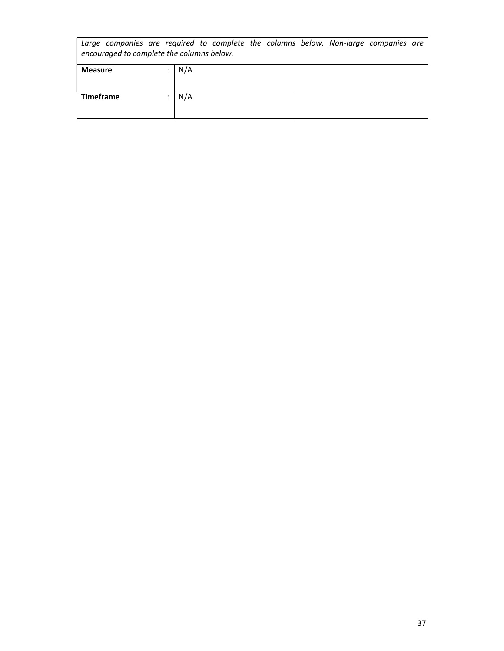| Large companies are required to complete the columns below. Non-large companies are<br>encouraged to complete the columns below. |  |     |  |  |  |  |  |  |
|----------------------------------------------------------------------------------------------------------------------------------|--|-----|--|--|--|--|--|--|
| <b>Measure</b>                                                                                                                   |  | N/A |  |  |  |  |  |  |
| <b>Timeframe</b>                                                                                                                 |  | N/A |  |  |  |  |  |  |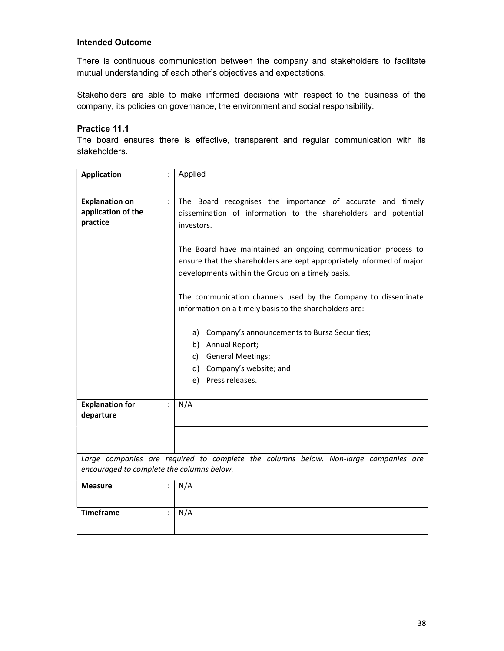There is continuous communication between the company and stakeholders to facilitate mutual understanding of each other's objectives and expectations.

Stakeholders are able to make informed decisions with respect to the business of the company, its policies on governance, the environment and social responsibility.

#### Practice 11.1

The board ensures there is effective, transparent and regular communication with its stakeholders.

| <b>Application</b>                                      | Applied                                                                                                                                                                                                                                                                              |
|---------------------------------------------------------|--------------------------------------------------------------------------------------------------------------------------------------------------------------------------------------------------------------------------------------------------------------------------------------|
| <b>Explanation on</b><br>application of the<br>practice | The Board recognises the importance of accurate and timely<br>dissemination of information to the shareholders and potential<br>investors.<br>The Board have maintained an ongoing communication process to<br>ensure that the shareholders are kept appropriately informed of major |
|                                                         | developments within the Group on a timely basis.<br>The communication channels used by the Company to disseminate<br>information on a timely basis to the shareholders are:-                                                                                                         |
|                                                         | a) Company's announcements to Bursa Securities;<br>b) Annual Report;                                                                                                                                                                                                                 |
|                                                         | c) General Meetings;<br>d) Company's website; and                                                                                                                                                                                                                                    |
|                                                         | e) Press releases.                                                                                                                                                                                                                                                                   |
| <b>Explanation for</b><br>departure                     | N/A                                                                                                                                                                                                                                                                                  |
|                                                         |                                                                                                                                                                                                                                                                                      |
| encouraged to complete the columns below.               | Large companies are required to complete the columns below. Non-large companies are                                                                                                                                                                                                  |
| <b>Measure</b>                                          | N/A                                                                                                                                                                                                                                                                                  |
| <b>Timeframe</b>                                        | N/A                                                                                                                                                                                                                                                                                  |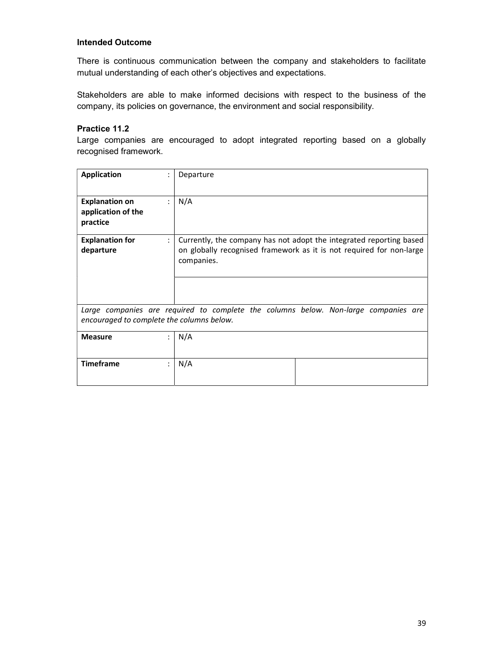There is continuous communication between the company and stakeholders to facilitate mutual understanding of each other's objectives and expectations.

Stakeholders are able to make informed decisions with respect to the business of the company, its policies on governance, the environment and social responsibility.

# Practice 11.2

Large companies are encouraged to adopt integrated reporting based on a globally recognised framework.

| <b>Application</b>                                                                                                               | ÷              | Departure                                                                                                                                                 |  |  |
|----------------------------------------------------------------------------------------------------------------------------------|----------------|-----------------------------------------------------------------------------------------------------------------------------------------------------------|--|--|
| <b>Explanation on</b><br>application of the<br>practice                                                                          | $\ddot{\cdot}$ | N/A                                                                                                                                                       |  |  |
| <b>Explanation for</b><br>departure                                                                                              | $\ddot{\cdot}$ | Currently, the company has not adopt the integrated reporting based<br>on globally recognised framework as it is not required for non-large<br>companies. |  |  |
|                                                                                                                                  |                |                                                                                                                                                           |  |  |
| Large companies are required to complete the columns below. Non-large companies are<br>encouraged to complete the columns below. |                |                                                                                                                                                           |  |  |
| <b>Measure</b>                                                                                                                   |                | N/A                                                                                                                                                       |  |  |
| <b>Timeframe</b>                                                                                                                 | ÷              | N/A                                                                                                                                                       |  |  |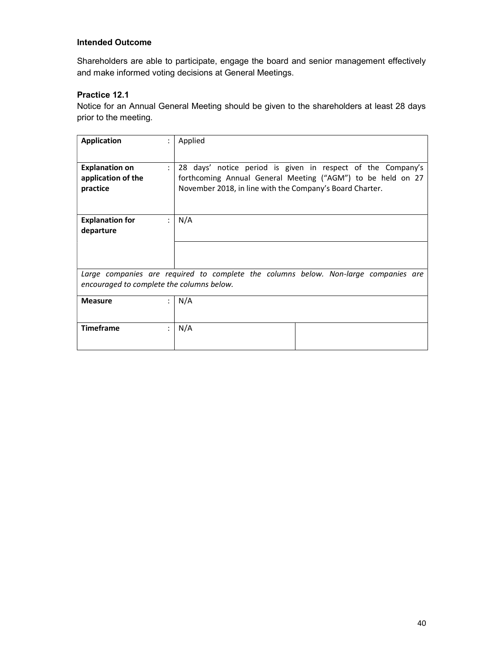Shareholders are able to participate, engage the board and senior management effectively and make informed voting decisions at General Meetings.

# Practice 12.1

Notice for an Annual General Meeting should be given to the shareholders at least 28 days prior to the meeting.

| <b>Application</b>                                                                                                               | $\ddot{\phantom{a}}$ | Applied                                                                                                                                                                                |  |  |
|----------------------------------------------------------------------------------------------------------------------------------|----------------------|----------------------------------------------------------------------------------------------------------------------------------------------------------------------------------------|--|--|
| <b>Explanation on</b><br>application of the<br>practice                                                                          | $\ddot{\phantom{a}}$ | 28 days' notice period is given in respect of the Company's<br>forthcoming Annual General Meeting ("AGM") to be held on 27<br>November 2018, in line with the Company's Board Charter. |  |  |
| <b>Explanation for</b><br>departure                                                                                              |                      | N/A                                                                                                                                                                                    |  |  |
|                                                                                                                                  |                      |                                                                                                                                                                                        |  |  |
| Large companies are required to complete the columns below. Non-large companies are<br>encouraged to complete the columns below. |                      |                                                                                                                                                                                        |  |  |
| <b>Measure</b>                                                                                                                   | $\bullet$            | N/A                                                                                                                                                                                    |  |  |
| <b>Timeframe</b>                                                                                                                 |                      | N/A                                                                                                                                                                                    |  |  |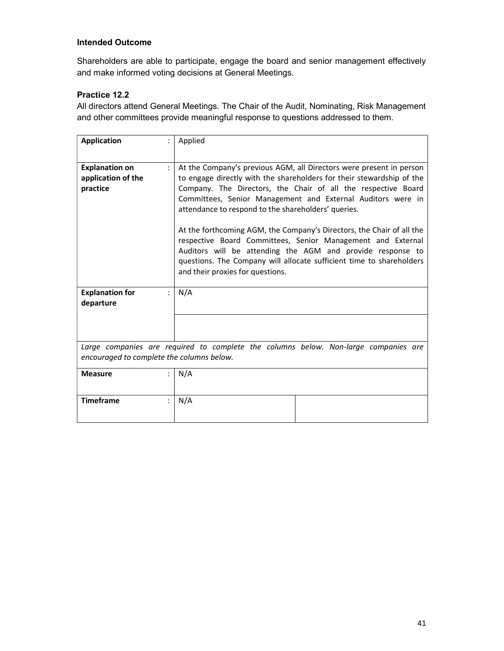Shareholders are able to participate, engage the board and senior management effectively and make informed voting decisions at General Meetings.

# Practice 12.2

All directors attend General Meetings. The Chair of the Audit, Nominating, Risk Management and other committees provide meaningful response to questions addressed to them.

| <b>Application</b>                                                                                                               |  | Applied                                                                                                                                                                                                                                                                                                                                                                                                                                                                                                                                                                                                                                               |
|----------------------------------------------------------------------------------------------------------------------------------|--|-------------------------------------------------------------------------------------------------------------------------------------------------------------------------------------------------------------------------------------------------------------------------------------------------------------------------------------------------------------------------------------------------------------------------------------------------------------------------------------------------------------------------------------------------------------------------------------------------------------------------------------------------------|
| <b>Explanation on</b><br>application of the<br>practice                                                                          |  | At the Company's previous AGM, all Directors were present in person<br>to engage directly with the shareholders for their stewardship of the<br>Company. The Directors, the Chair of all the respective Board<br>Committees, Senior Management and External Auditors were in<br>attendance to respond to the shareholders' queries.<br>At the forthcoming AGM, the Company's Directors, the Chair of all the<br>respective Board Committees, Senior Management and External<br>Auditors will be attending the AGM and provide response to<br>questions. The Company will allocate sufficient time to shareholders<br>and their proxies for questions. |
| <b>Explanation for</b><br>departure                                                                                              |  | N/A                                                                                                                                                                                                                                                                                                                                                                                                                                                                                                                                                                                                                                                   |
|                                                                                                                                  |  |                                                                                                                                                                                                                                                                                                                                                                                                                                                                                                                                                                                                                                                       |
| Large companies are required to complete the columns below. Non-large companies are<br>encouraged to complete the columns below. |  |                                                                                                                                                                                                                                                                                                                                                                                                                                                                                                                                                                                                                                                       |
| <b>Measure</b>                                                                                                                   |  | N/A                                                                                                                                                                                                                                                                                                                                                                                                                                                                                                                                                                                                                                                   |
| <b>Timeframe</b>                                                                                                                 |  | N/A                                                                                                                                                                                                                                                                                                                                                                                                                                                                                                                                                                                                                                                   |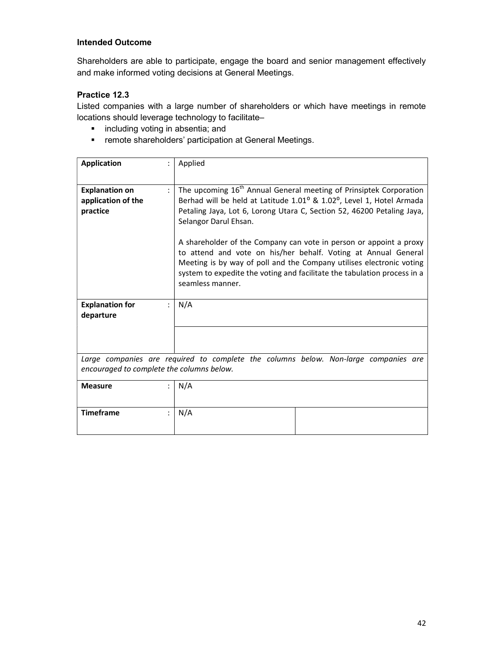Shareholders are able to participate, engage the board and senior management effectively and make informed voting decisions at General Meetings.

# Practice 12.3

Listed companies with a large number of shareholders or which have meetings in remote locations should leverage technology to facilitate–

- **i** including voting in absentia; and
- **F** remote shareholders' participation at General Meetings.

| <b>Application</b>                                                                                                               | Applied                                                                                                                                                                                                                                                                                                                                                                                                                                                                                                                                                                                     |  |
|----------------------------------------------------------------------------------------------------------------------------------|---------------------------------------------------------------------------------------------------------------------------------------------------------------------------------------------------------------------------------------------------------------------------------------------------------------------------------------------------------------------------------------------------------------------------------------------------------------------------------------------------------------------------------------------------------------------------------------------|--|
| <b>Explanation on</b><br>application of the<br>practice                                                                          | The upcoming 16 <sup>th</sup> Annual General meeting of Prinsiptek Corporation<br>$\ddot{\cdot}$<br>Berhad will be held at Latitude 1.01° & 1.02°, Level 1, Hotel Armada<br>Petaling Jaya, Lot 6, Lorong Utara C, Section 52, 46200 Petaling Jaya,<br>Selangor Darul Ehsan.<br>A shareholder of the Company can vote in person or appoint a proxy<br>to attend and vote on his/her behalf. Voting at Annual General<br>Meeting is by way of poll and the Company utilises electronic voting<br>system to expedite the voting and facilitate the tabulation process in a<br>seamless manner. |  |
|                                                                                                                                  |                                                                                                                                                                                                                                                                                                                                                                                                                                                                                                                                                                                             |  |
| <b>Explanation for</b><br>departure                                                                                              | N/A                                                                                                                                                                                                                                                                                                                                                                                                                                                                                                                                                                                         |  |
|                                                                                                                                  |                                                                                                                                                                                                                                                                                                                                                                                                                                                                                                                                                                                             |  |
| Large companies are required to complete the columns below. Non-large companies are<br>encouraged to complete the columns below. |                                                                                                                                                                                                                                                                                                                                                                                                                                                                                                                                                                                             |  |
| <b>Measure</b>                                                                                                                   | N/A                                                                                                                                                                                                                                                                                                                                                                                                                                                                                                                                                                                         |  |
| <b>Timeframe</b>                                                                                                                 | N/A                                                                                                                                                                                                                                                                                                                                                                                                                                                                                                                                                                                         |  |